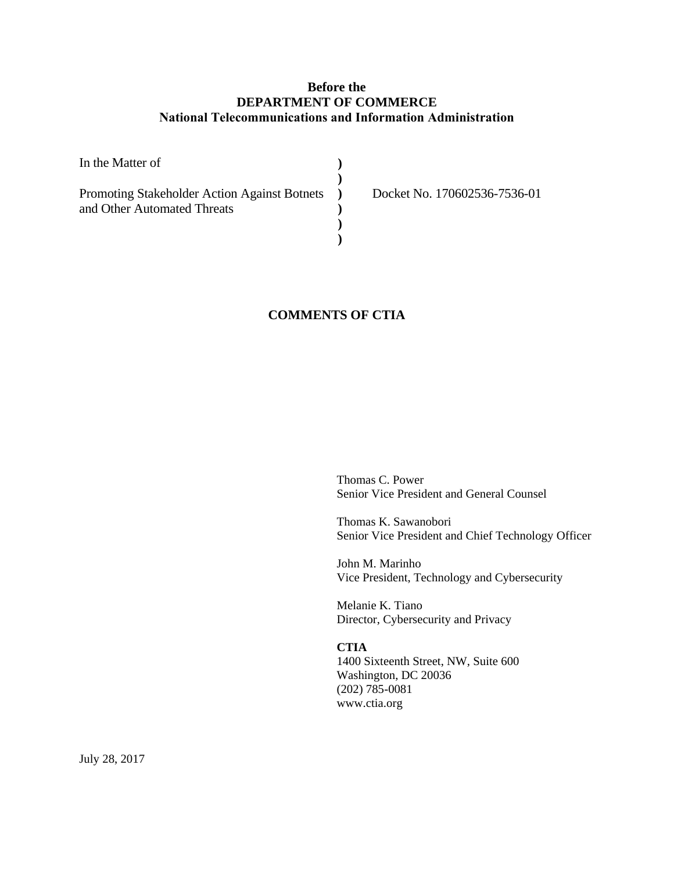# **Before the DEPARTMENT OF COMMERCE National Telecommunications and Information Administration**

| In the Matter of                             |                              |
|----------------------------------------------|------------------------------|
| Promoting Stakeholder Action Against Botnets | Docket No. 170602536-7536-01 |
| and Other Automated Threats                  |                              |
|                                              |                              |
|                                              |                              |

# **COMMENTS OF CTIA**

Thomas C. Power Senior Vice President and General Counsel

Thomas K. Sawanobori Senior Vice President and Chief Technology Officer

John M. Marinho Vice President, Technology and Cybersecurity

Melanie K. Tiano Director, Cybersecurity and Privacy

**CTIA** 1400 Sixteenth Street, NW, Suite 600 Washington, DC 20036 (202) 785-0081 www.ctia.org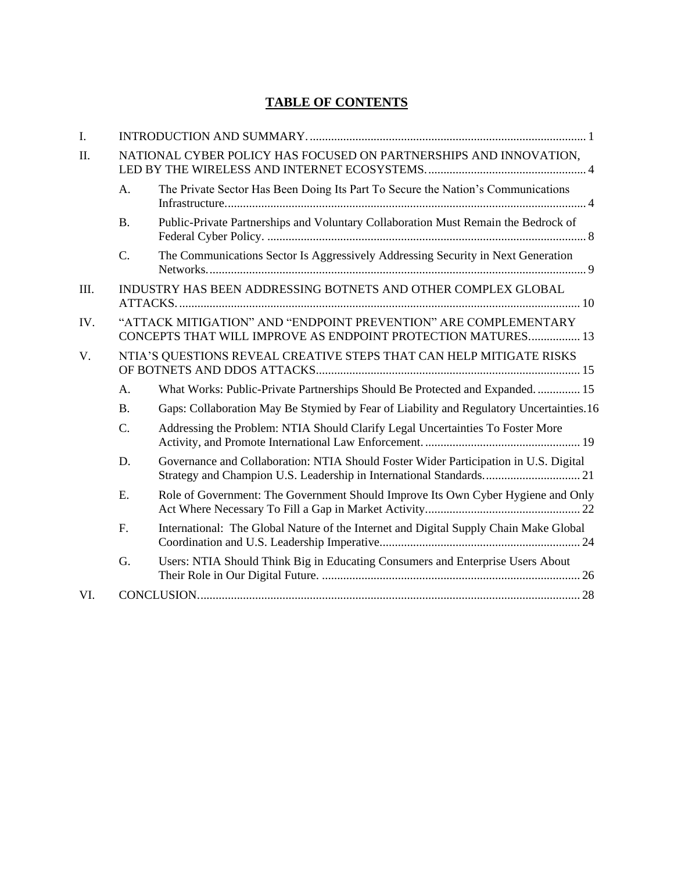# **TABLE OF CONTENTS**

| I.          |                 |                                                                                                                                 |  |  |  |
|-------------|-----------------|---------------------------------------------------------------------------------------------------------------------------------|--|--|--|
| II.         |                 | NATIONAL CYBER POLICY HAS FOCUSED ON PARTNERSHIPS AND INNOVATION,                                                               |  |  |  |
|             | A.              | The Private Sector Has Been Doing Its Part To Secure the Nation's Communications                                                |  |  |  |
|             | <b>B.</b>       | Public-Private Partnerships and Voluntary Collaboration Must Remain the Bedrock of                                              |  |  |  |
|             | $\mathcal{C}$ . | The Communications Sector Is Aggressively Addressing Security in Next Generation                                                |  |  |  |
| III.        |                 | INDUSTRY HAS BEEN ADDRESSING BOTNETS AND OTHER COMPLEX GLOBAL                                                                   |  |  |  |
| IV.         |                 | "ATTACK MITIGATION" AND "ENDPOINT PREVENTION" ARE COMPLEMENTARY<br>CONCEPTS THAT WILL IMPROVE AS ENDPOINT PROTECTION MATURES 13 |  |  |  |
| $V_{\cdot}$ |                 | NTIA'S QUESTIONS REVEAL CREATIVE STEPS THAT CAN HELP MITIGATE RISKS                                                             |  |  |  |
|             | A.              | What Works: Public-Private Partnerships Should Be Protected and Expanded 15                                                     |  |  |  |
|             | <b>B.</b>       | Gaps: Collaboration May Be Stymied by Fear of Liability and Regulatory Uncertainties.16                                         |  |  |  |
|             | $\mathcal{C}$ . | Addressing the Problem: NTIA Should Clarify Legal Uncertainties To Foster More                                                  |  |  |  |
|             | D.              | Governance and Collaboration: NTIA Should Foster Wider Participation in U.S. Digital                                            |  |  |  |
|             | E.              | Role of Government: The Government Should Improve Its Own Cyber Hygiene and Only                                                |  |  |  |
|             | F.              | International: The Global Nature of the Internet and Digital Supply Chain Make Global                                           |  |  |  |
|             | G.              | Users: NTIA Should Think Big in Educating Consumers and Enterprise Users About                                                  |  |  |  |
| VI.         |                 |                                                                                                                                 |  |  |  |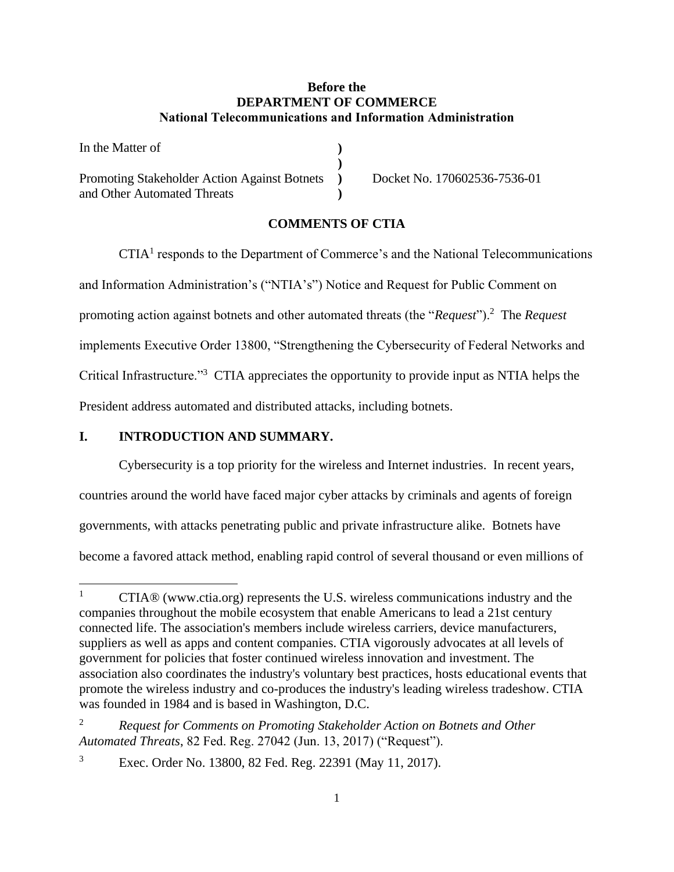## **Before the DEPARTMENT OF COMMERCE National Telecommunications and Information Administration**

| In the Matter of                             |   |
|----------------------------------------------|---|
|                                              |   |
| Promoting Stakeholder Action Against Botnets | D |
| and Other Automated Threats                  |   |

Docket No. 170602536-7536-01

#### **COMMENTS OF CTIA**

 $CTIA<sup>1</sup>$  responds to the Department of Commerce's and the National Telecommunications and Information Administration's ("NTIA's") Notice and Request for Public Comment on promoting action against botnets and other automated threats (the "*Request*").<sup>2</sup> The *Request* implements Executive Order 13800, "Strengthening the Cybersecurity of Federal Networks and Critical Infrastructure."<sup>3</sup> CTIA appreciates the opportunity to provide input as NTIA helps the President address automated and distributed attacks, including botnets.

## <span id="page-2-0"></span>**I. INTRODUCTION AND SUMMARY.**

l

Cybersecurity is a top priority for the wireless and Internet industries. In recent years, countries around the world have faced major cyber attacks by criminals and agents of foreign governments, with attacks penetrating public and private infrastructure alike. Botnets have become a favored attack method, enabling rapid control of several thousand or even millions of

<sup>&</sup>lt;sup>1</sup> CTIA<sup>®</sup> (www.ctia.org) represents the U.S. wireless communications industry and the companies throughout the mobile ecosystem that enable Americans to lead a 21st century connected life. The association's members include wireless carriers, device manufacturers, suppliers as well as apps and content companies. CTIA vigorously advocates at all levels of government for policies that foster continued wireless innovation and investment. The association also coordinates the industry's voluntary best practices, hosts educational events that promote the wireless industry and co-produces the industry's leading wireless tradeshow. CTIA was founded in 1984 and is based in Washington, D.C.

<sup>2</sup> *Request for Comments on Promoting Stakeholder Action on Botnets and Other Automated Threats*, 82 Fed. Reg. 27042 (Jun. 13, 2017) ("Request").

<sup>3</sup> Exec. Order No. 13800, 82 Fed. Reg. 22391 (May 11, 2017).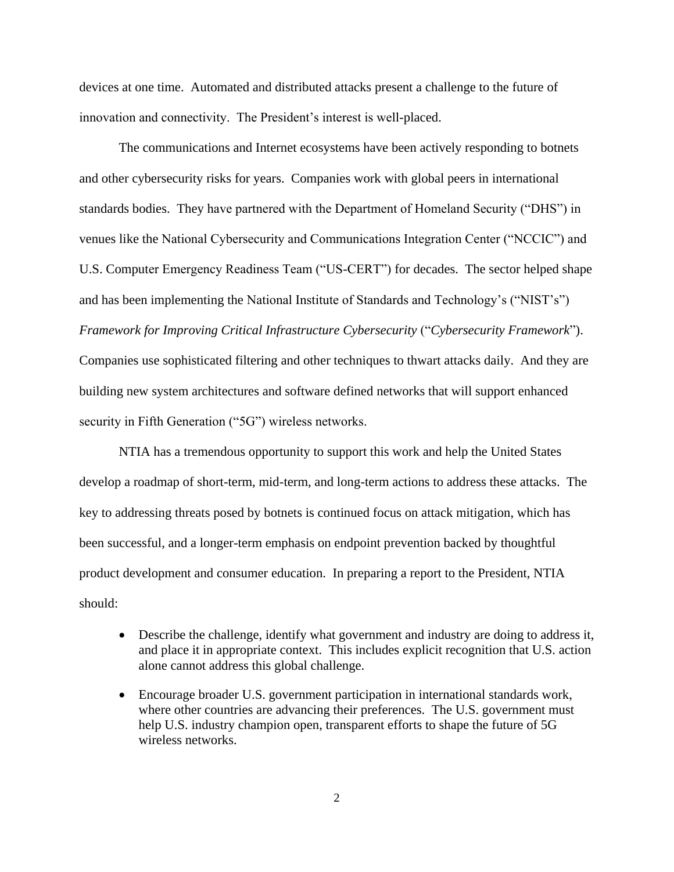devices at one time. Automated and distributed attacks present a challenge to the future of innovation and connectivity. The President's interest is well-placed.

The communications and Internet ecosystems have been actively responding to botnets and other cybersecurity risks for years. Companies work with global peers in international standards bodies. They have partnered with the Department of Homeland Security ("DHS") in venues like the National Cybersecurity and Communications Integration Center ("NCCIC") and U.S. Computer Emergency Readiness Team ("US-CERT") for decades. The sector helped shape and has been implementing the National Institute of Standards and Technology's ("NIST's") *Framework for Improving Critical Infrastructure Cybersecurity* ("*Cybersecurity Framework*"). Companies use sophisticated filtering and other techniques to thwart attacks daily. And they are building new system architectures and software defined networks that will support enhanced security in Fifth Generation ("5G") wireless networks.

NTIA has a tremendous opportunity to support this work and help the United States develop a roadmap of short-term, mid-term, and long-term actions to address these attacks. The key to addressing threats posed by botnets is continued focus on attack mitigation, which has been successful, and a longer-term emphasis on endpoint prevention backed by thoughtful product development and consumer education. In preparing a report to the President, NTIA should:

- Describe the challenge, identify what government and industry are doing to address it, and place it in appropriate context. This includes explicit recognition that U.S. action alone cannot address this global challenge.
- Encourage broader U.S. government participation in international standards work, where other countries are advancing their preferences. The U.S. government must help U.S. industry champion open, transparent efforts to shape the future of 5G wireless networks.

2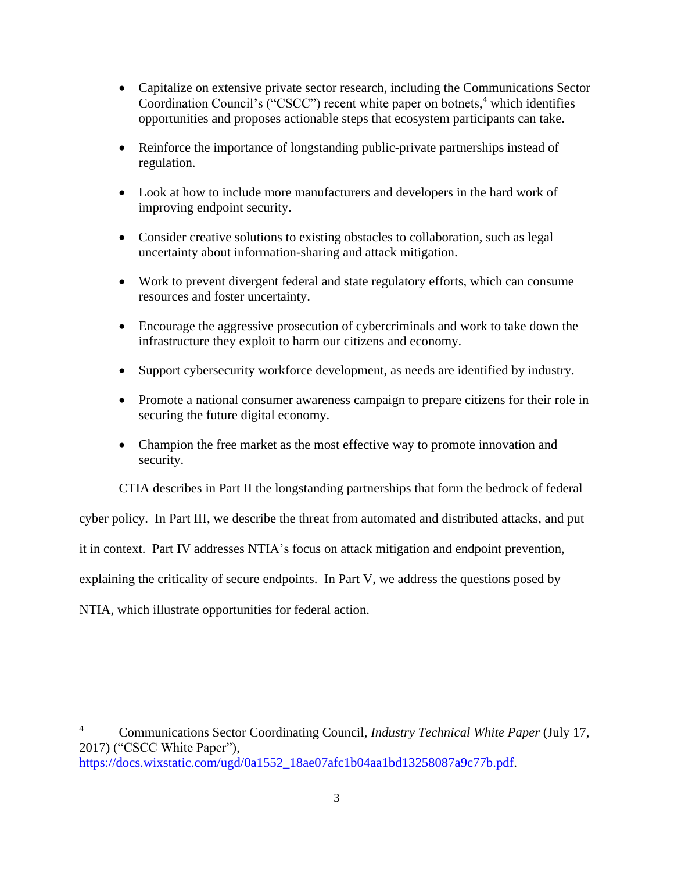- Capitalize on extensive private sector research, including the Communications Sector Coordination Council's ("CSCC") recent white paper on botnets,<sup>4</sup> which identifies opportunities and proposes actionable steps that ecosystem participants can take.
- Reinforce the importance of longstanding public-private partnerships instead of regulation.
- Look at how to include more manufacturers and developers in the hard work of improving endpoint security.
- Consider creative solutions to existing obstacles to collaboration, such as legal uncertainty about information-sharing and attack mitigation.
- Work to prevent divergent federal and state regulatory efforts, which can consume resources and foster uncertainty.
- Encourage the aggressive prosecution of cybercriminals and work to take down the infrastructure they exploit to harm our citizens and economy.
- Support cybersecurity workforce development, as needs are identified by industry.
- Promote a national consumer awareness campaign to prepare citizens for their role in securing the future digital economy.
- Champion the free market as the most effective way to promote innovation and security.

CTIA describes in Part II the longstanding partnerships that form the bedrock of federal

cyber policy. In Part III, we describe the threat from automated and distributed attacks, and put

it in context. Part IV addresses NTIA's focus on attack mitigation and endpoint prevention,

explaining the criticality of secure endpoints. In Part V, we address the questions posed by

NTIA, which illustrate opportunities for federal action.

<sup>4</sup> Communications Sector Coordinating Council, *Industry Technical White Paper* (July 17, 2017) ("CSCC White Paper"), [https://docs.wixstatic.com/ugd/0a1552\\_18ae07afc1b04aa1bd13258087a9c77b.pdf.](https://docs.wixstatic.com/ugd/0a1552_18ae07afc1b04aa1bd13258087a9c77b.pdf)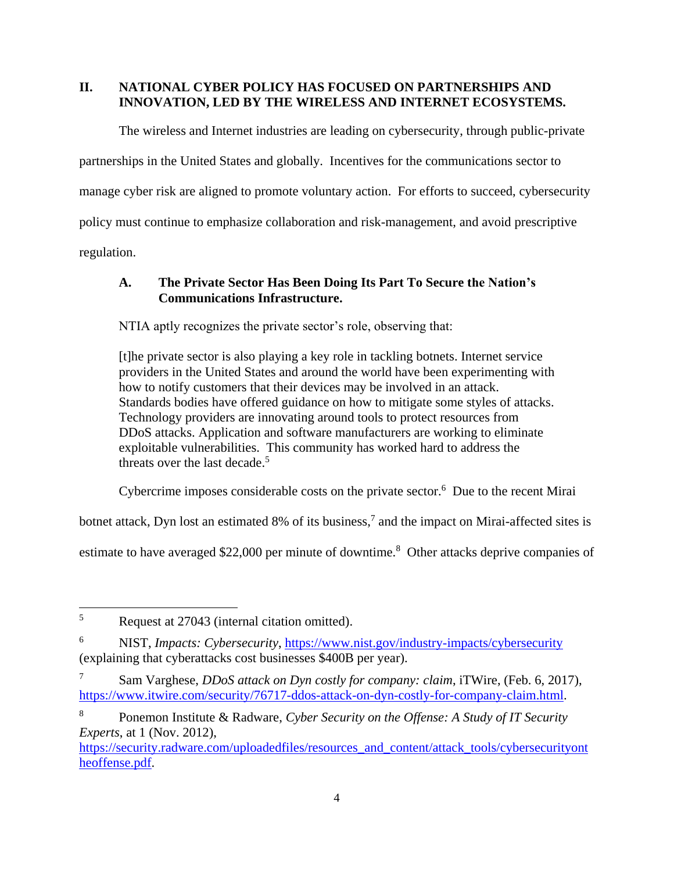# <span id="page-5-0"></span>**II. NATIONAL CYBER POLICY HAS FOCUSED ON PARTNERSHIPS AND INNOVATION, LED BY THE WIRELESS AND INTERNET ECOSYSTEMS.**

The wireless and Internet industries are leading on cybersecurity, through public-private partnerships in the United States and globally. Incentives for the communications sector to manage cyber risk are aligned to promote voluntary action. For efforts to succeed, cybersecurity policy must continue to emphasize collaboration and risk-management, and avoid prescriptive regulation.

# <span id="page-5-1"></span>**A. The Private Sector Has Been Doing Its Part To Secure the Nation's Communications Infrastructure.**

NTIA aptly recognizes the private sector's role, observing that:

[t]he private sector is also playing a key role in tackling botnets. Internet service providers in the United States and around the world have been experimenting with how to notify customers that their devices may be involved in an attack. Standards bodies have offered guidance on how to mitigate some styles of attacks. Technology providers are innovating around tools to protect resources from DDoS attacks. Application and software manufacturers are working to eliminate exploitable vulnerabilities. This community has worked hard to address the threats over the last decade.<sup>5</sup>

Cybercrime imposes considerable costs on the private sector. $6$  Due to the recent Mirai

botnet attack, Dyn lost an estimated 8% of its business,<sup>7</sup> and the impact on Mirai-affected sites is

estimate to have averaged \$22,000 per minute of downtime.<sup>8</sup> Other attacks deprive companies of

[https://security.radware.com/uploadedfiles/resources\\_and\\_content/attack\\_tools/cybersecurityont](https://security.radware.com/uploadedfiles/resources_and_content/attack_tools/cybersecurityontheoffense.pdf) [heoffense.pdf.](https://security.radware.com/uploadedfiles/resources_and_content/attack_tools/cybersecurityontheoffense.pdf)

<sup>5</sup> Request at 27043 (internal citation omitted).

<sup>6</sup> NIST, *Impacts: Cybersecurity*,<https://www.nist.gov/industry-impacts/cybersecurity> (explaining that cyberattacks cost businesses \$400B per year).

<sup>7</sup> Sam Varghese, *DDoS attack on Dyn costly for company: claim*, iTWire, (Feb. 6, 2017), [https://www.itwire.com/security/76717-ddos-attack-on-dyn-costly-for-company-claim.html.](https://www.itwire.com/security/76717-ddos-attack-on-dyn-costly-for-company-claim.html)

<sup>8</sup> Ponemon Institute & Radware, *Cyber Security on the Offense: A Study of IT Security Experts*, at 1 (Nov. 2012),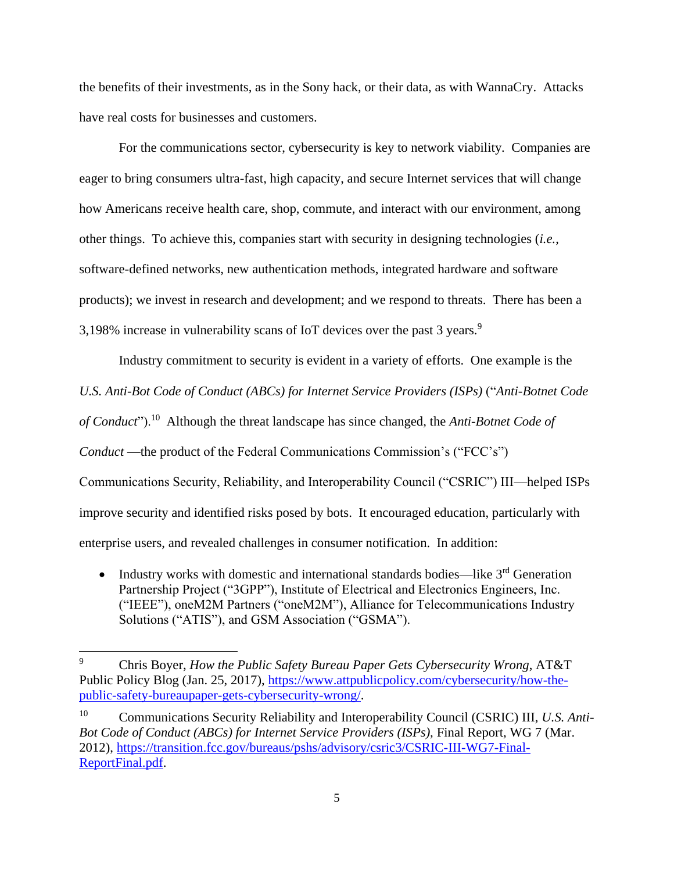the benefits of their investments, as in the Sony hack, or their data, as with WannaCry. Attacks have real costs for businesses and customers.

For the communications sector, cybersecurity is key to network viability. Companies are eager to bring consumers ultra-fast, high capacity, and secure Internet services that will change how Americans receive health care, shop, commute, and interact with our environment, among other things.To achieve this, companies start with security in designing technologies (*i.e.*, software-defined networks, new authentication methods, integrated hardware and software products); we invest in research and development; and we respond to threats. There has been a 3,198% increase in vulnerability scans of IoT devices over the past 3 years.<sup>9</sup>

Industry commitment to security is evident in a variety of efforts. One example is the *U.S. Anti-Bot Code of Conduct (ABCs) for Internet Service Providers (ISPs)* ("*Anti-Botnet Code of Conduct*").<sup>10</sup> Although the threat landscape has since changed, the *Anti-Botnet Code of Conduct* —the product of the Federal Communications Commission's ("FCC's") Communications Security, Reliability, and Interoperability Council ("CSRIC") III—helped ISPs improve security and identified risks posed by bots. It encouraged education, particularly with enterprise users, and revealed challenges in consumer notification. In addition:

• Industry works with domestic and international standards bodies—like  $3<sup>rd</sup>$  Generation Partnership Project ("3GPP"), Institute of Electrical and Electronics Engineers, Inc. ("IEEE"), oneM2M Partners ("oneM2M"), Alliance for Telecommunications Industry Solutions ("ATIS"), and GSM Association ("GSMA").

<sup>9</sup> Chris Boyer, *How the Public Safety Bureau Paper Gets Cybersecurity Wrong*, AT&T Public Policy Blog (Jan. 25, 2017), [https://www.attpublicpolicy.com/cybersecurity/how-the](https://www.attpublicpolicy.com/cybersecurity/how-the-public-safety-bureaupaper-gets-cybersecurity-wrong/)[public-safety-bureaupaper-gets-cybersecurity-wrong/.](https://www.attpublicpolicy.com/cybersecurity/how-the-public-safety-bureaupaper-gets-cybersecurity-wrong/)

<sup>10</sup> Communications Security Reliability and Interoperability Council (CSRIC) III, *U.S. Anti-Bot Code of Conduct (ABCs) for Internet Service Providers (ISPs),* Final Report, WG 7 (Mar. 2012), [https://transition.fcc.gov/bureaus/pshs/advisory/csric3/CSRIC-III-WG7-Final-](https://transition.fcc.gov/bureaus/pshs/advisory/csric3/CSRIC-III-WG7-Final-ReportFinal.pdf)[ReportFinal.pdf.](https://transition.fcc.gov/bureaus/pshs/advisory/csric3/CSRIC-III-WG7-Final-ReportFinal.pdf)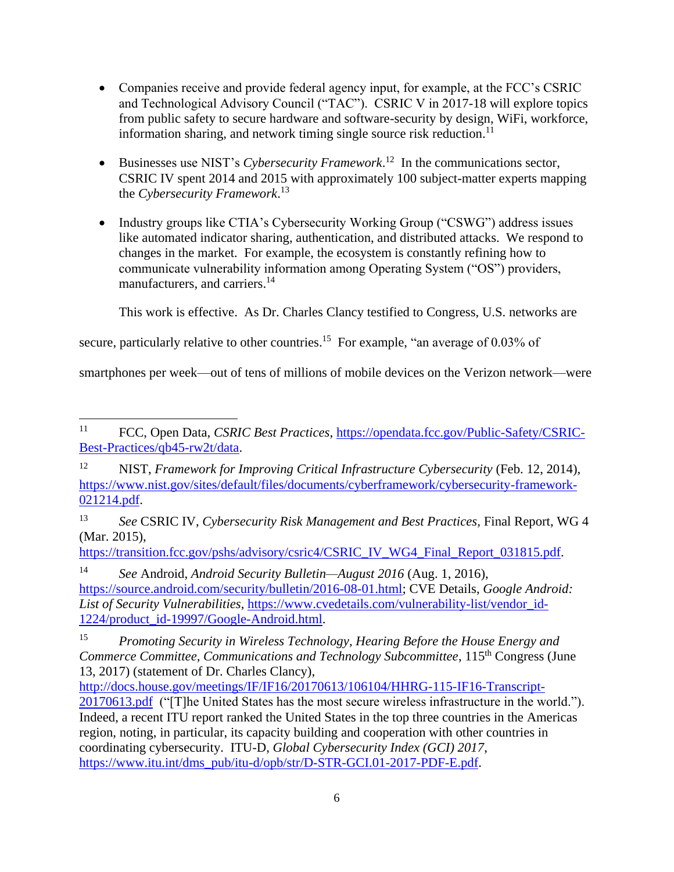- Companies receive and provide federal agency input, for example, at the FCC's CSRIC and Technological Advisory Council ("TAC"). CSRIC V in 2017-18 will explore topics from public safety to secure hardware and software-security by design, WiFi, workforce, information sharing, and network timing single source risk reduction. $11$
- Businesses use NIST's *Cybersecurity Framework*. 12 In the communications sector, CSRIC IV spent 2014 and 2015 with approximately 100 subject-matter experts mapping the *Cybersecurity Framework*. 13
- Industry groups like CTIA's Cybersecurity Working Group ("CSWG") address issues like automated indicator sharing, authentication, and distributed attacks. We respond to changes in the market. For example, the ecosystem is constantly refining how to communicate vulnerability information among Operating System ("OS") providers, manufacturers, and carriers.<sup>14</sup>

This work is effective. As Dr. Charles Clancy testified to Congress, U.S. networks are

secure, particularly relative to other countries.<sup>15</sup> For example, "an average of 0.03% of

smartphones per week—out of tens of millions of mobile devices on the Verizon network—were

https://transition.fcc.gov/pshs/advisory/csric4/CSRIC\_IV\_WG4\_Final\_Report\_031815.pdf.

<sup>14</sup> *See* Android, *Android Security Bulletin—August 2016* (Aug. 1, 2016), [https://source.android.com/security/bulletin/2016-08-01.html;](https://source.android.com/security/bulletin/2016-08-01.html) CVE Details, *Google Android: List of Security Vulnerabilities*, [https://www.cvedetails.com/vulnerability-list/vendor\\_id-](https://www.cvedetails.com/vulnerability-list/vendor_id-1224/product_id-19997/Google-Android.html)[1224/product\\_id-19997/Google-Android.html.](https://www.cvedetails.com/vulnerability-list/vendor_id-1224/product_id-19997/Google-Android.html)

<sup>11</sup> <sup>11</sup> FCC, Open Data, *CSRIC Best Practices*, [https://opendata.fcc.gov/Public-Safety/CSRIC-](https://opendata.fcc.gov/Public-Safety/CSRIC-Best-Practices/qb45-rw2t/data)[Best-Practices/qb45-rw2t/data.](https://opendata.fcc.gov/Public-Safety/CSRIC-Best-Practices/qb45-rw2t/data)

<sup>12</sup> NIST, *Framework for Improving Critical Infrastructure Cybersecurity* (Feb. 12, 2014), [https://www.nist.gov/sites/default/files/documents/cyberframework/cybersecurity-framework-](https://www.nist.gov/sites/default/files/documents/cyberframework/cybersecurity-framework-021214.pdf)[021214.pdf.](https://www.nist.gov/sites/default/files/documents/cyberframework/cybersecurity-framework-021214.pdf)

<sup>13</sup> *See* CSRIC IV, *Cybersecurity Risk Management and Best Practices,* Final Report, WG 4 (Mar. 2015),

<sup>15</sup> *Promoting Security in Wireless Technology, Hearing Before the House Energy and Commerce Committee, Communications and Technology Subcommittee, 115<sup>th</sup> Congress (June*) 13, 2017) (statement of Dr. Charles Clancy),

[http://docs.house.gov/meetings/IF/IF16/20170613/106104/HHRG-115-IF16-Transcript-](http://docs.house.gov/meetings/IF/IF16/20170613/106104/HHRG-115-IF16-Transcript-20170613.pdf)[20170613.pdf](http://docs.house.gov/meetings/IF/IF16/20170613/106104/HHRG-115-IF16-Transcript-20170613.pdf) ("[T]he United States has the most secure wireless infrastructure in the world."). Indeed, a recent ITU report ranked the United States in the top three countries in the Americas region, noting, in particular, its capacity building and cooperation with other countries in coordinating cybersecurity. ITU-D, *Global Cybersecurity Index (GCI) 2017*, [https://www.itu.int/dms\\_pub/itu-d/opb/str/D-STR-GCI.01-2017-PDF-E.pdf.](https://www.itu.int/dms_pub/itu-d/opb/str/D-STR-GCI.01-2017-PDF-E.pdf)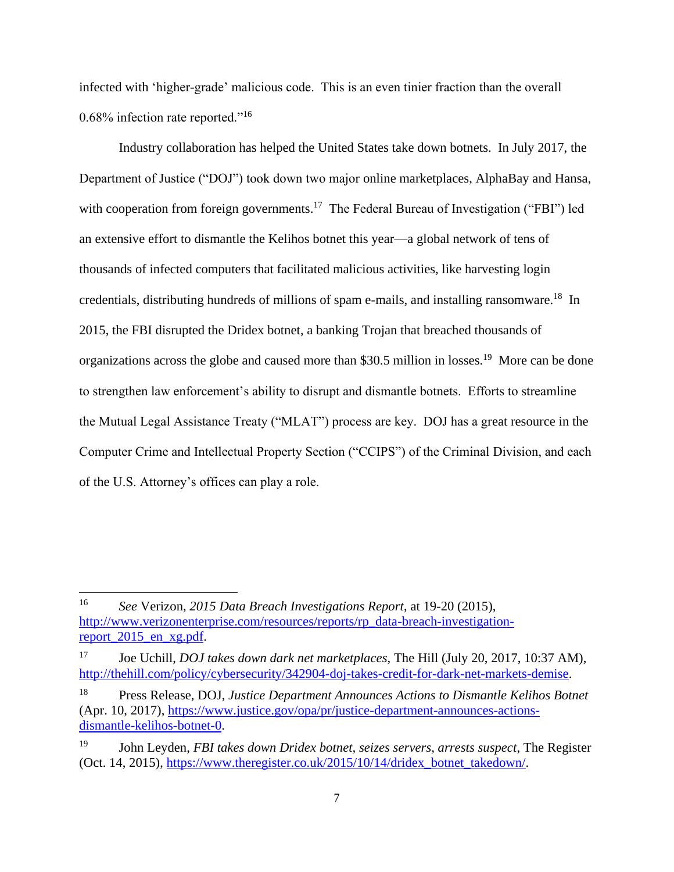infected with 'higher-grade' malicious code. This is an even tinier fraction than the overall 0.68% infection rate reported."<sup>16</sup>

Industry collaboration has helped the United States take down botnets. In July 2017, the Department of Justice ("DOJ") took down two major online marketplaces, AlphaBay and Hansa, with cooperation from foreign governments.<sup>17</sup> The Federal Bureau of Investigation ("FBI") led an extensive effort to dismantle the Kelihos botnet this year—a global network of tens of thousands of infected computers that facilitated malicious activities, like harvesting login credentials, distributing hundreds of millions of spam e-mails, and installing ransomware.<sup>18</sup> In 2015, the FBI disrupted the Dridex botnet, a banking Trojan that breached thousands of organizations across the globe and caused more than \$30.5 million in losses.<sup>19</sup> More can be done to strengthen law enforcement's ability to disrupt and dismantle botnets. Efforts to streamline the Mutual Legal Assistance Treaty ("MLAT") process are key. DOJ has a great resource in the Computer Crime and Intellectual Property Section ("CCIPS") of the Criminal Division, and each of the U.S. Attorney's offices can play a role.

 $\overline{\phantom{a}}$ 

<sup>16</sup> *See* Verizon, *2015 Data Breach Investigations Report*, at 19-20 (2015), [http://www.verizonenterprise.com/resources/reports/rp\\_data-breach-investigation](http://www.verizonenterprise.com/resources/reports/rp_data-breach-investigation-report_2015_en_xg.pdf)report 2015 en xg.pdf.

<sup>17</sup> Joe Uchill, *DOJ takes down dark net marketplaces*, The Hill (July 20, 2017, 10:37 AM), [http://thehill.com/policy/cybersecurity/342904-doj-takes-credit-for-dark-net-markets-demise.](http://thehill.com/policy/cybersecurity/342904-doj-takes-credit-for-dark-net-markets-demise)

<sup>18</sup> Press Release, DOJ, *Justice Department Announces Actions to Dismantle Kelihos Botnet* (Apr. 10, 2017), [https://www.justice.gov/opa/pr/justice-department-announces-actions](https://www.justice.gov/opa/pr/justice-department-announces-actions-dismantle-kelihos-botnet-0)[dismantle-kelihos-botnet-0.](https://www.justice.gov/opa/pr/justice-department-announces-actions-dismantle-kelihos-botnet-0)

<sup>19</sup> John Leyden, *FBI takes down Dridex botnet, seizes servers, arrests suspect*, The Register (Oct. 14, 2015), [https://www.theregister.co.uk/2015/10/14/dridex\\_botnet\\_takedown/.](https://www.theregister.co.uk/2015/10/14/dridex_botnet_takedown/)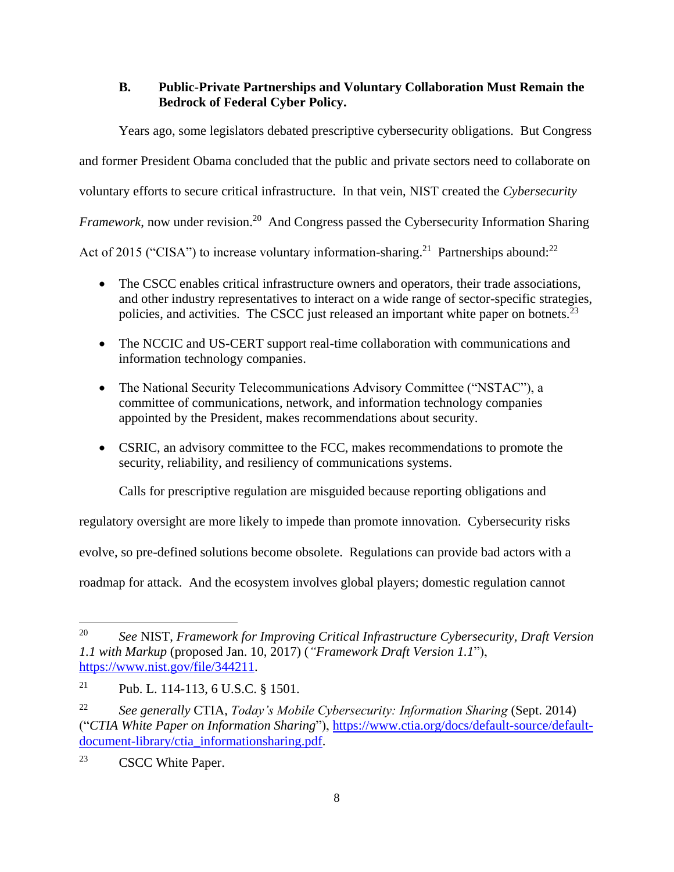# **B. Public-Private Partnerships and Voluntary Collaboration Must Remain the Bedrock of Federal Cyber Policy.**

<span id="page-9-0"></span>Years ago, some legislators debated prescriptive cybersecurity obligations. But Congress and former President Obama concluded that the public and private sectors need to collaborate on voluntary efforts to secure critical infrastructure. In that vein, NIST created the *Cybersecurity* Framework, now under revision.<sup>20</sup> And Congress passed the Cybersecurity Information Sharing Act of 2015 ("CISA") to increase voluntary information-sharing.<sup>21</sup> Partnerships abound:<sup>22</sup>

- The CSCC enables critical infrastructure owners and operators, their trade associations, and other industry representatives to interact on a wide range of sector-specific strategies, policies, and activities. The CSCC just released an important white paper on botnets.<sup>23</sup>
- The NCCIC and US-CERT support real-time collaboration with communications and information technology companies.
- The National Security Telecommunications Advisory Committee ("NSTAC"), a committee of communications, network, and information technology companies appointed by the President, makes recommendations about security.
- CSRIC, an advisory committee to the FCC, makes recommendations to promote the security, reliability, and resiliency of communications systems.

Calls for prescriptive regulation are misguided because reporting obligations and

regulatory oversight are more likely to impede than promote innovation. Cybersecurity risks

evolve, so pre-defined solutions become obsolete. Regulations can provide bad actors with a

roadmap for attack. And the ecosystem involves global players; domestic regulation cannot

<sup>23</sup> CSCC White Paper.

l <sup>20</sup> *See* NIST, *Framework for Improving Critical Infrastructure Cybersecurity, Draft Version 1.1 with Markup* (proposed Jan. 10, 2017) (*"Framework Draft Version 1.1*"), [https://www.nist.gov/file/344211.](https://www.nist.gov/file/344211)

<sup>21</sup> Pub. L. 114-113, 6 U.S.C. § 1501.

<sup>22</sup> *See generally* CTIA, *Today's Mobile Cybersecurity: Information Sharing* (Sept. 2014) ("*CTIA White Paper on Information Sharing*"), [https://www.ctia.org/docs/default-source/default](https://www.ctia.org/docs/default-source/default-document-library/ctia_informationsharing.pdf)[document-library/ctia\\_informationsharing.pdf.](https://www.ctia.org/docs/default-source/default-document-library/ctia_informationsharing.pdf)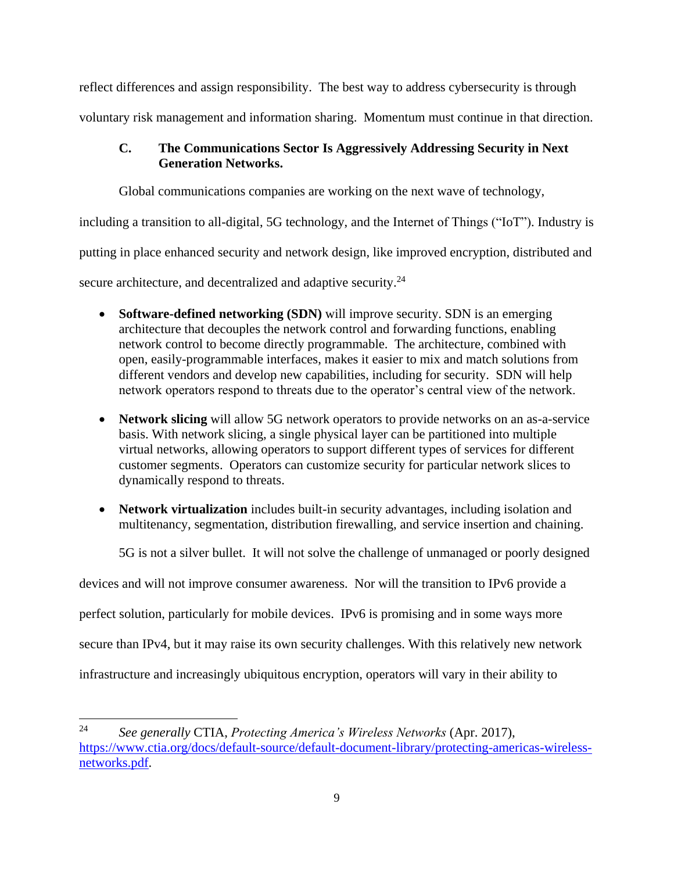reflect differences and assign responsibility. The best way to address cybersecurity is through

<span id="page-10-0"></span>voluntary risk management and information sharing. Momentum must continue in that direction.

# **C. The Communications Sector Is Aggressively Addressing Security in Next Generation Networks.**

Global communications companies are working on the next wave of technology,

including a transition to all-digital, 5G technology, and the Internet of Things ("IoT"). Industry is

putting in place enhanced security and network design, like improved encryption, distributed and

secure architecture, and decentralized and adaptive security.<sup>24</sup>

- **Software-defined networking (SDN)** will improve security. SDN is an emerging architecture that decouples the network control and forwarding functions, enabling network control to become directly programmable. The architecture, combined with open, easily-programmable interfaces, makes it easier to mix and match solutions from different vendors and develop new capabilities, including for security. SDN will help network operators respond to threats due to the operator's central view of the network.
- **Network slicing** will allow 5G network operators to provide networks on an as-a-service basis. With network slicing, a single physical layer can be partitioned into multiple virtual networks, allowing operators to support different types of services for different customer segments. Operators can customize security for particular network slices to dynamically respond to threats.
- **Network virtualization** includes built-in security advantages, including isolation and multitenancy, segmentation, distribution firewalling, and service insertion and chaining.

5G is not a silver bullet. It will not solve the challenge of unmanaged or poorly designed

devices and will not improve consumer awareness. Nor will the transition to IPv6 provide a

perfect solution, particularly for mobile devices. IPv6 is promising and in some ways more

secure than IPv4, but it may raise its own security challenges. With this relatively new network

infrastructure and increasingly ubiquitous encryption, operators will vary in their ability to

<sup>24</sup> *See generally* CTIA, *Protecting America's Wireless Networks* (Apr. 2017), [https://www.ctia.org/docs/default-source/default-document-library/protecting-americas-wireless](https://www.ctia.org/docs/default-source/default-document-library/protecting-americas-wireless-networks.pdf)[networks.pdf.](https://www.ctia.org/docs/default-source/default-document-library/protecting-americas-wireless-networks.pdf)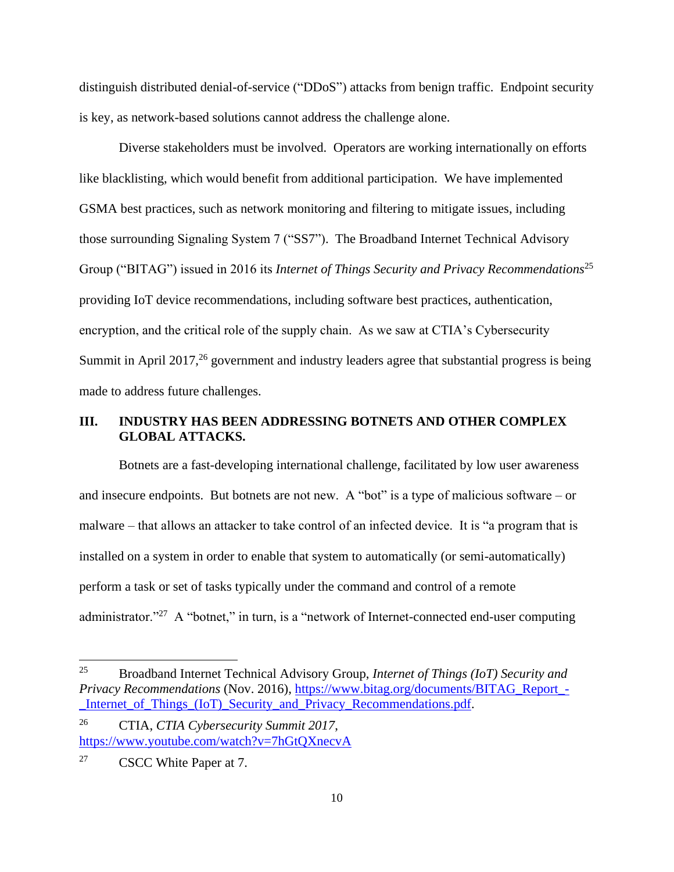distinguish distributed denial-of-service ("DDoS") attacks from benign traffic. Endpoint security is key, as network-based solutions cannot address the challenge alone.

Diverse stakeholders must be involved. Operators are working internationally on efforts like blacklisting, which would benefit from additional participation. We have implemented GSMA best practices, such as network monitoring and filtering to mitigate issues, including those surrounding Signaling System 7 ("SS7"). The Broadband Internet Technical Advisory Group ("BITAG") issued in 2016 its *Internet of Things Security and Privacy Recommendations*<sup>25</sup> providing IoT device recommendations, including software best practices, authentication, encryption, and the critical role of the supply chain. As we saw at CTIA's Cybersecurity Summit in April 2017,  $26$  government and industry leaders agree that substantial progress is being made to address future challenges.

# <span id="page-11-0"></span>**III. INDUSTRY HAS BEEN ADDRESSING BOTNETS AND OTHER COMPLEX GLOBAL ATTACKS.**

Botnets are a fast-developing international challenge, facilitated by low user awareness and insecure endpoints. But botnets are not new. A "bot" is a type of malicious software – or malware – that allows an attacker to take control of an infected device. It is "a program that is installed on a system in order to enable that system to automatically (or semi-automatically) perform a task or set of tasks typically under the command and control of a remote administrator."<sup>27</sup> A "botnet," in turn, is a "network of Internet-connected end-user computing

<sup>25</sup> Broadband Internet Technical Advisory Group, *Internet of Things (IoT) Security and Privacy Recommendations* (Nov. 2016), [https://www.bitag.org/documents/BITAG\\_Report\\_-](https://www.bitag.org/documents/BITAG_Report_-_Internet_of_Things_(IoT)_Security_and_Privacy_Recommendations.pdf) [\\_Internet\\_of\\_Things\\_\(IoT\)\\_Security\\_and\\_Privacy\\_Recommendations.pdf.](https://www.bitag.org/documents/BITAG_Report_-_Internet_of_Things_(IoT)_Security_and_Privacy_Recommendations.pdf)

<sup>26</sup> CTIA, *CTIA Cybersecurity Summit 2017*, <https://www.youtube.com/watch?v=7hGtQXnecvA>

<sup>&</sup>lt;sup>27</sup> CSCC White Paper at 7.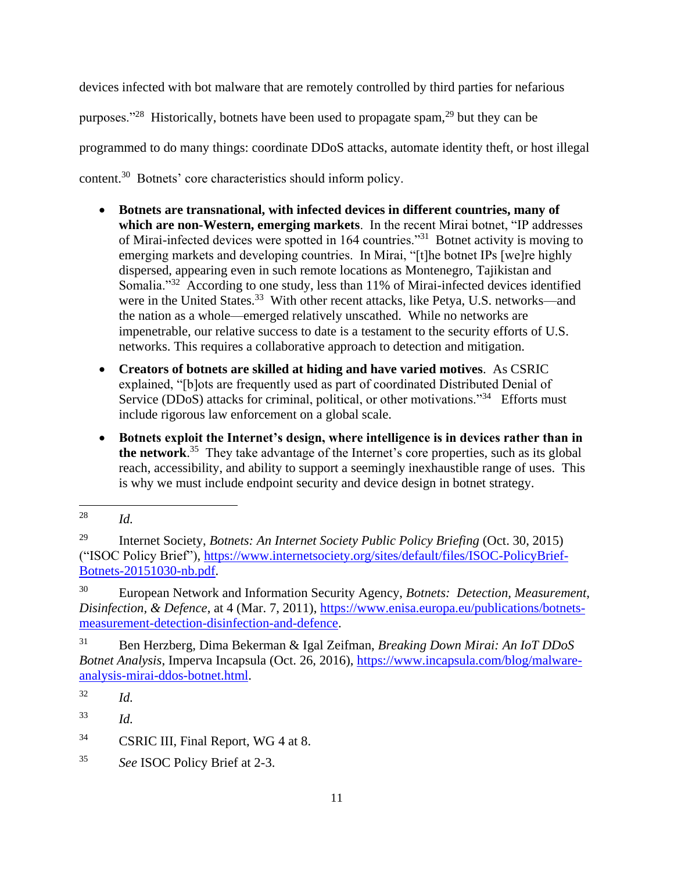devices infected with bot malware that are remotely controlled by third parties for nefarious purposes."<sup>28</sup> Historically, botnets have been used to propagate spam,<sup>29</sup> but they can be programmed to do many things: coordinate DDoS attacks, automate identity theft, or host illegal content.<sup>30</sup> Botnets' core characteristics should inform policy.

- **Botnets are transnational, with infected devices in different countries, many of which are non-Western, emerging markets**. In the recent Mirai botnet, "IP addresses of Mirai-infected devices were spotted in 164 countries."<sup>31</sup> Botnet activity is moving to emerging markets and developing countries. In Mirai, "[t]he botnet IPs [we]re highly dispersed, appearing even in such remote locations as Montenegro, Tajikistan and Somalia."<sup>32</sup> According to one study, less than 11% of Mirai-infected devices identified were in the United States.<sup>33</sup> With other recent attacks, like Petya, U.S. networks—and the nation as a whole—emerged relatively unscathed. While no networks are impenetrable, our relative success to date is a testament to the security efforts of U.S. networks. This requires a collaborative approach to detection and mitigation.
- **Creators of botnets are skilled at hiding and have varied motives**. As CSRIC explained, "[b]ots are frequently used as part of coordinated Distributed Denial of Service (DDoS) attacks for criminal, political, or other motivations."<sup>34</sup> Efforts must include rigorous law enforcement on a global scale.
- **Botnets exploit the Internet's design, where intelligence is in devices rather than in the network**. 35 They take advantage of the Internet's core properties, such as its global reach, accessibility, and ability to support a seemingly inexhaustible range of uses. This is why we must include endpoint security and device design in botnet strategy.

<sup>28</sup> *Id.* 

<sup>29</sup> Internet Society, *Botnets: An Internet Society Public Policy Briefing* (Oct. 30, 2015) ("ISOC Policy Brief"), [https://www.internetsociety.org/sites/default/files/ISOC-PolicyBrief-](https://www.internetsociety.org/sites/default/files/ISOC-PolicyBrief-Botnets-20151030-nb.pdf)[Botnets-20151030-nb.pdf.](https://www.internetsociety.org/sites/default/files/ISOC-PolicyBrief-Botnets-20151030-nb.pdf)

<sup>30</sup> European Network and Information Security Agency, *Botnets: Detection, Measurement, Disinfection, & Defence*, at 4 (Mar. 7, 2011), [https://www.enisa.europa.eu/publications/botnets](https://www.enisa.europa.eu/publications/botnets-measurement-detection-disinfection-and-defence)[measurement-detection-disinfection-and-defence.](https://www.enisa.europa.eu/publications/botnets-measurement-detection-disinfection-and-defence)

<sup>31</sup> Ben Herzberg, Dima Bekerman & Igal Zeifman, *Breaking Down Mirai: An IoT DDoS Botnet Analysis*, Imperva Incapsula (Oct. 26, 2016), [https://www.incapsula.com/blog/malware](https://www.incapsula.com/blog/malware-analysis-mirai-ddos-botnet.html)[analysis-mirai-ddos-botnet.html.](https://www.incapsula.com/blog/malware-analysis-mirai-ddos-botnet.html)

<sup>32</sup> *Id.*

<sup>33</sup> *Id.*

<sup>&</sup>lt;sup>34</sup> CSRIC III, Final Report, WG 4 at 8.

<sup>35</sup> *See* ISOC Policy Brief at 2-3.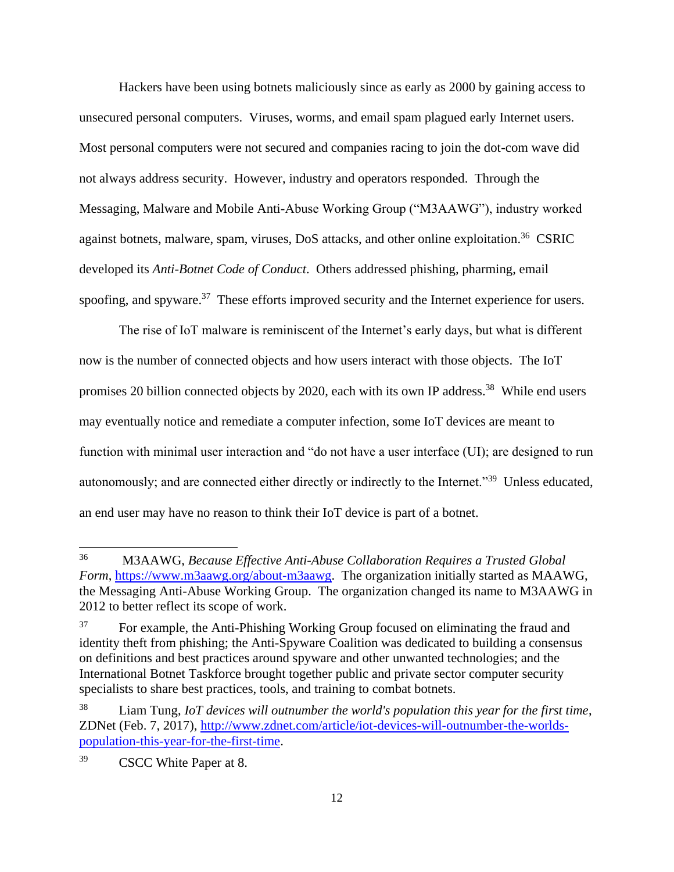Hackers have been using botnets maliciously since as early as 2000 by gaining access to unsecured personal computers. Viruses, worms, and email spam plagued early Internet users. Most personal computers were not secured and companies racing to join the dot-com wave did not always address security. However, industry and operators responded. Through the Messaging, Malware and Mobile Anti-Abuse Working Group ("M3AAWG"), industry worked against botnets, malware, spam, viruses, DoS attacks, and other online exploitation.<sup>36</sup> CSRIC developed its *Anti-Botnet Code of Conduct*. Others addressed phishing, pharming, email spoofing, and spyware.<sup>37</sup> These efforts improved security and the Internet experience for users.

The rise of IoT malware is reminiscent of the Internet's early days, but what is different now is the number of connected objects and how users interact with those objects. The IoT promises 20 billion connected objects by 2020, each with its own IP address.<sup>38</sup> While end users may eventually notice and remediate a computer infection, some IoT devices are meant to function with minimal user interaction and "do not have a user interface (UI); are designed to run autonomously; and are connected either directly or indirectly to the Internet."<sup>39</sup> Unless educated, an end user may have no reason to think their IoT device is part of a botnet.

<sup>36</sup> <sup>36</sup> M3AAWG, *Because Effective Anti-Abuse Collaboration Requires a Trusted Global Form*, [https://www.m3aawg.org/about-m3aawg.](https://www.m3aawg.org/about-m3aawg) The organization initially started as MAAWG, the Messaging Anti-Abuse Working Group. The organization changed its name to M3AAWG in 2012 to better reflect its scope of work.

<sup>&</sup>lt;sup>37</sup> For example, the Anti-Phishing Working Group focused on eliminating the fraud and identity theft from phishing; the Anti-Spyware Coalition was dedicated to building a consensus on definitions and best practices around spyware and other unwanted technologies; and the International Botnet Taskforce brought together public and private sector computer security specialists to share best practices, tools, and training to combat botnets.

<sup>38</sup> Liam Tung, *IoT devices will outnumber the world's population this year for the first time*, ZDNet (Feb. 7, 2017), [http://www.zdnet.com/article/iot-devices-will-outnumber-the-worlds](http://www.zdnet.com/article/iot-devices-will-outnumber-the-worlds-population-this-year-for-the-first-time)[population-this-year-for-the-first-time.](http://www.zdnet.com/article/iot-devices-will-outnumber-the-worlds-population-this-year-for-the-first-time)

<sup>39</sup> CSCC White Paper at 8.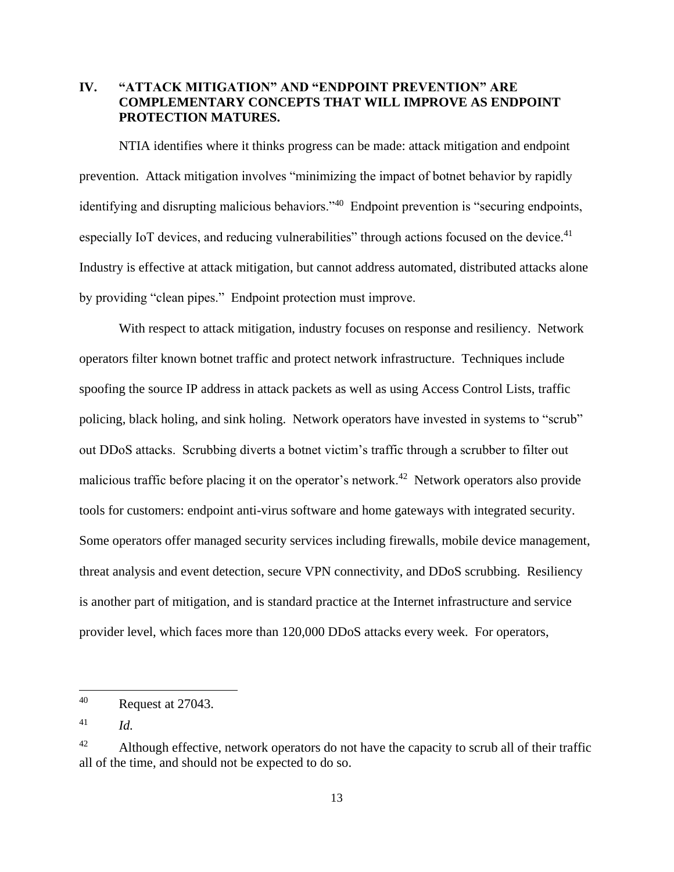# <span id="page-14-0"></span>**IV. "ATTACK MITIGATION" AND "ENDPOINT PREVENTION" ARE COMPLEMENTARY CONCEPTS THAT WILL IMPROVE AS ENDPOINT PROTECTION MATURES.**

NTIA identifies where it thinks progress can be made: attack mitigation and endpoint prevention. Attack mitigation involves "minimizing the impact of botnet behavior by rapidly identifying and disrupting malicious behaviors."<sup>40</sup> Endpoint prevention is "securing endpoints, especially IoT devices, and reducing vulnerabilities" through actions focused on the device. $41$ Industry is effective at attack mitigation, but cannot address automated, distributed attacks alone by providing "clean pipes." Endpoint protection must improve.

With respect to attack mitigation, industry focuses on response and resiliency. Network operators filter known botnet traffic and protect network infrastructure. Techniques include spoofing the source IP address in attack packets as well as using Access Control Lists, traffic policing, black holing, and sink holing. Network operators have invested in systems to "scrub" out DDoS attacks. Scrubbing diverts a botnet victim's traffic through a scrubber to filter out malicious traffic before placing it on the operator's network.<sup>42</sup> Network operators also provide tools for customers: endpoint anti-virus software and home gateways with integrated security. Some operators offer managed security services including firewalls, mobile device management, threat analysis and event detection, secure VPN connectivity, and DDoS scrubbing. Resiliency is another part of mitigation, and is standard practice at the Internet infrastructure and service provider level, which faces more than 120,000 DDoS attacks every week. For operators,

 $\overline{\phantom{a}}$ 

<sup>40</sup> Request at 27043.

<sup>41</sup> *Id.*

 $42$  Although effective, network operators do not have the capacity to scrub all of their traffic all of the time, and should not be expected to do so.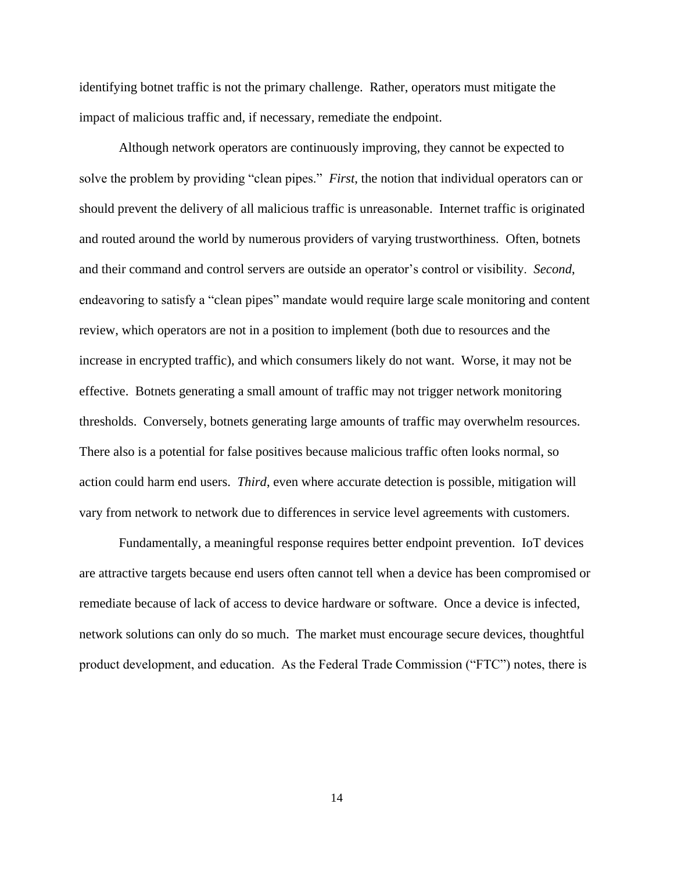identifying botnet traffic is not the primary challenge. Rather, operators must mitigate the impact of malicious traffic and, if necessary, remediate the endpoint.

Although network operators are continuously improving, they cannot be expected to solve the problem by providing "clean pipes." *First*, the notion that individual operators can or should prevent the delivery of all malicious traffic is unreasonable. Internet traffic is originated and routed around the world by numerous providers of varying trustworthiness. Often, botnets and their command and control servers are outside an operator's control or visibility. *Second*, endeavoring to satisfy a "clean pipes" mandate would require large scale monitoring and content review, which operators are not in a position to implement (both due to resources and the increase in encrypted traffic), and which consumers likely do not want. Worse, it may not be effective. Botnets generating a small amount of traffic may not trigger network monitoring thresholds. Conversely, botnets generating large amounts of traffic may overwhelm resources. There also is a potential for false positives because malicious traffic often looks normal, so action could harm end users. *Third*, even where accurate detection is possible, mitigation will vary from network to network due to differences in service level agreements with customers.

Fundamentally, a meaningful response requires better endpoint prevention. IoT devices are attractive targets because end users often cannot tell when a device has been compromised or remediate because of lack of access to device hardware or software. Once a device is infected, network solutions can only do so much. The market must encourage secure devices, thoughtful product development, and education. As the Federal Trade Commission ("FTC") notes, there is

14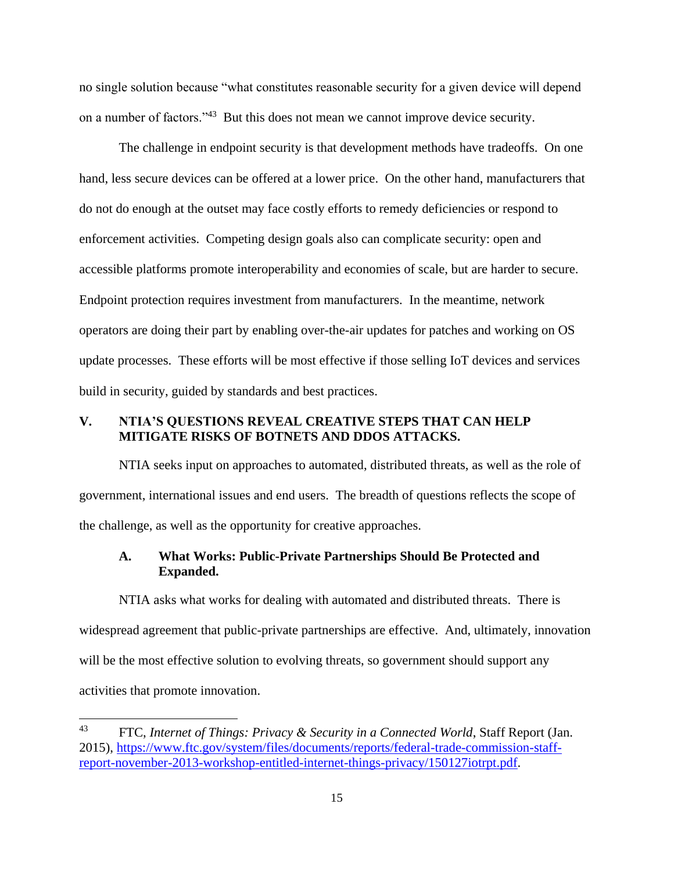no single solution because "what constitutes reasonable security for a given device will depend on a number of factors."<sup>43</sup> But this does not mean we cannot improve device security.

The challenge in endpoint security is that development methods have tradeoffs. On one hand, less secure devices can be offered at a lower price. On the other hand, manufacturers that do not do enough at the outset may face costly efforts to remedy deficiencies or respond to enforcement activities. Competing design goals also can complicate security: open and accessible platforms promote interoperability and economies of scale, but are harder to secure. Endpoint protection requires investment from manufacturers. In the meantime, network operators are doing their part by enabling over-the-air updates for patches and working on OS update processes. These efforts will be most effective if those selling IoT devices and services build in security, guided by standards and best practices.

### <span id="page-16-0"></span>**V. NTIA'S QUESTIONS REVEAL CREATIVE STEPS THAT CAN HELP MITIGATE RISKS OF BOTNETS AND DDOS ATTACKS.**

NTIA seeks input on approaches to automated, distributed threats, as well as the role of government, international issues and end users. The breadth of questions reflects the scope of the challenge, as well as the opportunity for creative approaches.

## <span id="page-16-1"></span>**A. What Works: Public-Private Partnerships Should Be Protected and Expanded.**

NTIA asks what works for dealing with automated and distributed threats. There is widespread agreement that public-private partnerships are effective. And, ultimately, innovation will be the most effective solution to evolving threats, so government should support any activities that promote innovation.

<sup>43</sup> FTC, *Internet of Things: Privacy & Security in a Connected World*, Staff Report (Jan. 2015), [https://www.ftc.gov/system/files/documents/reports/federal-trade-commission-staff](https://www.ftc.gov/system/files/documents/reports/federal-trade-commission-staff-report-november-2013-workshop-entitled-internet-things-privacy/150127iotrpt.pdf)[report-november-2013-workshop-entitled-internet-things-privacy/150127iotrpt.pdf.](https://www.ftc.gov/system/files/documents/reports/federal-trade-commission-staff-report-november-2013-workshop-entitled-internet-things-privacy/150127iotrpt.pdf)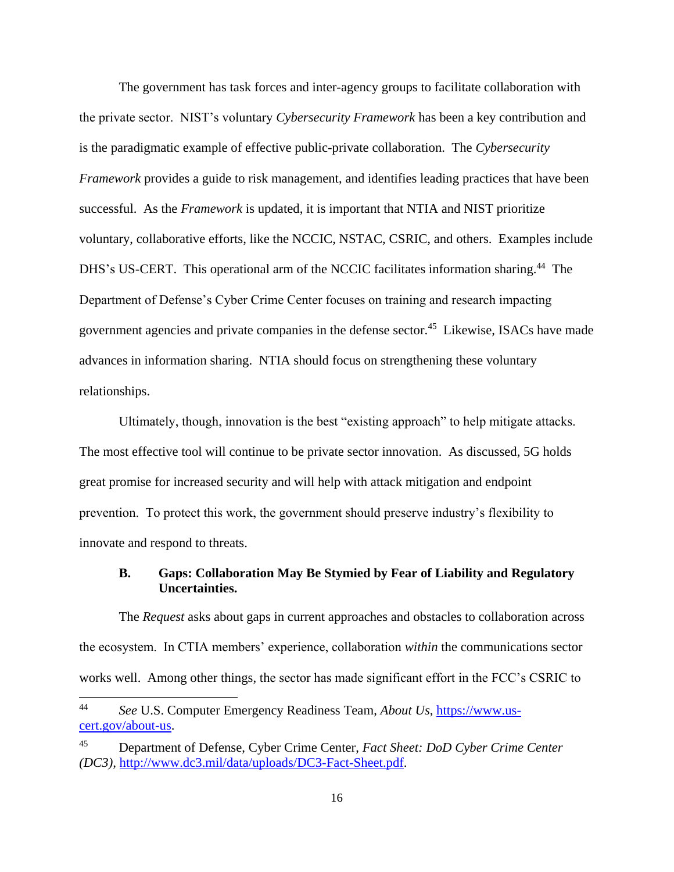The government has task forces and inter-agency groups to facilitate collaboration with the private sector. NIST's voluntary *Cybersecurity Framework* has been a key contribution and is the paradigmatic example of effective public-private collaboration. The *Cybersecurity Framework* provides a guide to risk management, and identifies leading practices that have been successful. As the *Framework* is updated, it is important that NTIA and NIST prioritize voluntary, collaborative efforts, like the NCCIC, NSTAC, CSRIC, and others. Examples include DHS's US-CERT. This operational arm of the NCCIC facilitates information sharing.<sup>44</sup> The Department of Defense's Cyber Crime Center focuses on training and research impacting government agencies and private companies in the defense sector.<sup>45</sup> Likewise, ISACs have made advances in information sharing. NTIA should focus on strengthening these voluntary relationships.

Ultimately, though, innovation is the best "existing approach" to help mitigate attacks. The most effective tool will continue to be private sector innovation. As discussed, 5G holds great promise for increased security and will help with attack mitigation and endpoint prevention. To protect this work, the government should preserve industry's flexibility to innovate and respond to threats.

## <span id="page-17-0"></span>**B. Gaps: Collaboration May Be Stymied by Fear of Liability and Regulatory Uncertainties.**

The *Request* asks about gaps in current approaches and obstacles to collaboration across the ecosystem. In CTIA members' experience, collaboration *within* the communications sector works well. Among other things, the sector has made significant effort in the FCC's CSRIC to

 $44$ <sup>44</sup> *See* U.S. Computer Emergency Readiness Team, *About Us*, [https://www.us](https://www.us-cert.gov/about-us)[cert.gov/about-us.](https://www.us-cert.gov/about-us)

<sup>45</sup> Department of Defense, Cyber Crime Center, *Fact Sheet: DoD Cyber Crime Center (DC3),* [http://www.dc3.mil/data/uploads/DC3-Fact-Sheet.pdf.](http://www.dc3.mil/data/uploads/DC3-Fact-Sheet.pdf)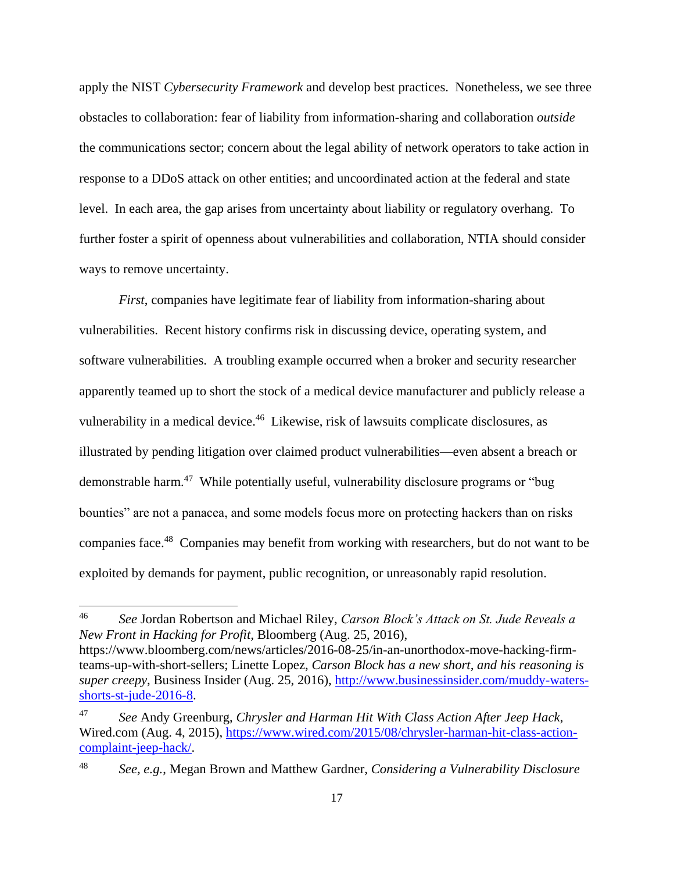apply the NIST *Cybersecurity Framework* and develop best practices. Nonetheless, we see three obstacles to collaboration: fear of liability from information-sharing and collaboration *outside* the communications sector; concern about the legal ability of network operators to take action in response to a DDoS attack on other entities; and uncoordinated action at the federal and state level. In each area, the gap arises from uncertainty about liability or regulatory overhang. To further foster a spirit of openness about vulnerabilities and collaboration, NTIA should consider ways to remove uncertainty.

*First*, companies have legitimate fear of liability from information-sharing about vulnerabilities. Recent history confirms risk in discussing device, operating system, and software vulnerabilities. A troubling example occurred when a broker and security researcher apparently teamed up to short the stock of a medical device manufacturer and publicly release a vulnerability in a medical device.<sup>46</sup> Likewise, risk of lawsuits complicate disclosures, as illustrated by pending litigation over claimed product vulnerabilities—even absent a breach or demonstrable harm.<sup>47</sup> While potentially useful, vulnerability disclosure programs or "bug bounties" are not a panacea, and some models focus more on protecting hackers than on risks companies face.<sup>48</sup> Companies may benefit from working with researchers, but do not want to be exploited by demands for payment, public recognition, or unreasonably rapid resolution.

 $\overline{\phantom{a}}$ 

<sup>46</sup> *See* Jordan Robertson and Michael Riley, *Carson Block's Attack on St. Jude Reveals a New Front in Hacking for Profit,* Bloomberg (Aug. 25, 2016),

https://www.bloomberg.com/news/articles/2016-08-25/in-an-unorthodox-move-hacking-firmteams-up-with-short-sellers; Linette Lopez, *Carson Block has a new short, and his reasoning is super creepy*, Business Insider (Aug. 25, 2016), [http://www.businessinsider.com/muddy-waters](http://www.businessinsider.com/muddy-waters-shorts-st-jude-2016-8)[shorts-st-jude-2016-8.](http://www.businessinsider.com/muddy-waters-shorts-st-jude-2016-8)

<sup>47</sup> *See* Andy Greenburg, *Chrysler and Harman Hit With Class Action After Jeep Hack*, Wired.com (Aug. 4, 2015), [https://www.wired.com/2015/08/chrysler-harman-hit-class-action](https://www.wired.com/2015/08/chrysler-harman-hit-class-action-complaint-jeep-hack/)[complaint-jeep-hack/.](https://www.wired.com/2015/08/chrysler-harman-hit-class-action-complaint-jeep-hack/)

<sup>48</sup> *See, e.g.*, Megan Brown and Matthew Gardner, *Considering a Vulnerability Disclosure*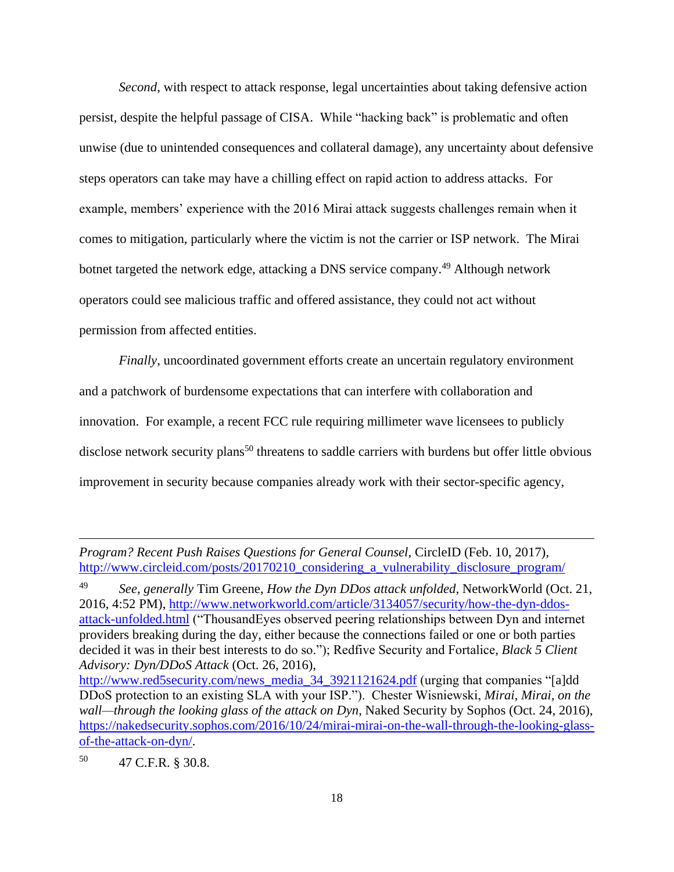*Second*, with respect to attack response, legal uncertainties about taking defensive action persist, despite the helpful passage of CISA. While "hacking back" is problematic and often unwise (due to unintended consequences and collateral damage), any uncertainty about defensive steps operators can take may have a chilling effect on rapid action to address attacks. For example, members' experience with the 2016 Mirai attack suggests challenges remain when it comes to mitigation, particularly where the victim is not the carrier or ISP network. The Mirai botnet targeted the network edge, attacking a DNS service company.<sup>49</sup> Although network operators could see malicious traffic and offered assistance, they could not act without permission from affected entities.

*Finally*, uncoordinated government efforts create an uncertain regulatory environment and a patchwork of burdensome expectations that can interfere with collaboration and innovation. For example, a recent FCC rule requiring millimeter wave licensees to publicly disclose network security plans<sup>50</sup> threatens to saddle carriers with burdens but offer little obvious improvement in security because companies already work with their sector-specific agency,

 $\overline{\phantom{a}}$ 

*Program? Recent Push Raises Questions for General Counsel,* CircleID (Feb. 10, 2017), [http://www.circleid.com/posts/20170210\\_considering\\_a\\_vulnerability\\_disclosure\\_program/](http://www.circleid.com/posts/20170210_considering_a_vulnerability_disclosure_program/)

<sup>49</sup> *See, generally* Tim Greene, *How the Dyn DDos attack unfolded*, NetworkWorld (Oct. 21, 2016, 4:52 PM), [http://www.networkworld.com/article/3134057/security/how-the-dyn-ddos](http://www.networkworld.com/article/3134057/security/how-the-dyn-ddos-attack-unfolded.html)[attack-unfolded.html](http://www.networkworld.com/article/3134057/security/how-the-dyn-ddos-attack-unfolded.html) ("ThousandEyes observed peering relationships between Dyn and internet providers breaking during the day, either because the connections failed or one or both parties decided it was in their best interests to do so."); Redfive Security and Fortalice, *Black 5 Client Advisory: Dyn/DDoS Attack* (Oct. 26, 2016),

[http://www.red5security.com/news\\_media\\_34\\_3921121624.pdf](http://www.red5security.com/news_media_34_3921121624.pdf) (urging that companies "[a]dd DDoS protection to an existing SLA with your ISP."). Chester Wisniewski, *Mirai, Mirai, on the wall—through the looking glass of the attack on Dyn*, Naked Security by Sophos (Oct. 24, 2016), [https://nakedsecurity.sophos.com/2016/10/24/mirai-mirai-on-the-wall-through-the-looking-glass](https://nakedsecurity.sophos.com/2016/10/24/mirai-mirai-on-the-wall-through-the-looking-glass-of-the-attack-on-dyn/)[of-the-attack-on-dyn/.](https://nakedsecurity.sophos.com/2016/10/24/mirai-mirai-on-the-wall-through-the-looking-glass-of-the-attack-on-dyn/)

<sup>50</sup> 47 C.F.R. § 30.8.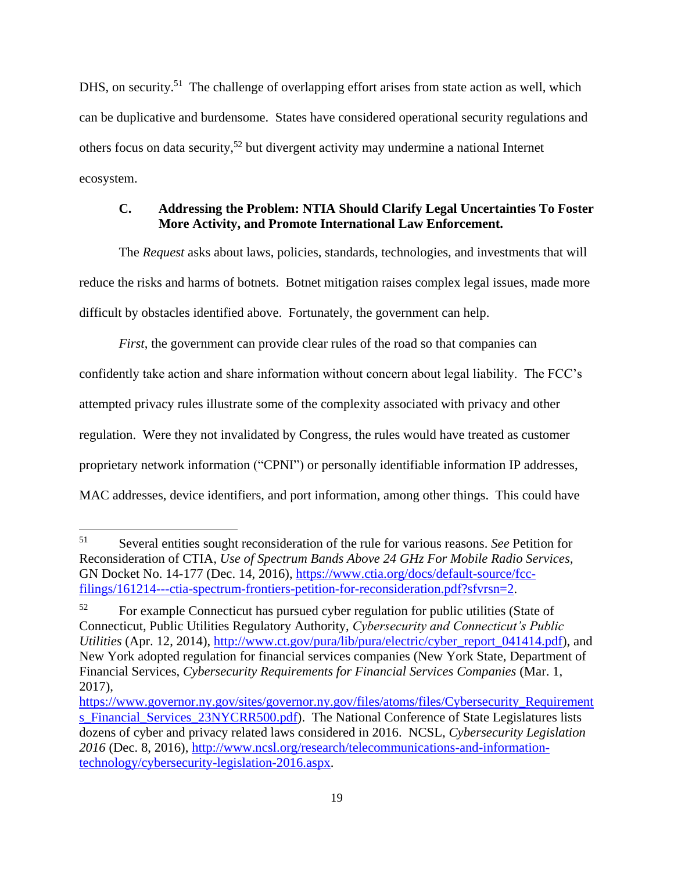DHS, on security.<sup>51</sup> The challenge of overlapping effort arises from state action as well, which can be duplicative and burdensome. States have considered operational security regulations and others focus on data security,<sup>52</sup> but divergent activity may undermine a national Internet ecosystem.

# <span id="page-20-0"></span>**C. Addressing the Problem: NTIA Should Clarify Legal Uncertainties To Foster More Activity, and Promote International Law Enforcement.**

The *Request* asks about laws, policies, standards, technologies, and investments that will reduce the risks and harms of botnets. Botnet mitigation raises complex legal issues, made more difficult by obstacles identified above. Fortunately, the government can help.

*First*, the government can provide clear rules of the road so that companies can confidently take action and share information without concern about legal liability. The FCC's attempted privacy rules illustrate some of the complexity associated with privacy and other regulation. Were they not invalidated by Congress, the rules would have treated as customer proprietary network information ("CPNI") or personally identifiable information IP addresses, MAC addresses, device identifiers, and port information, among other things. This could have

<sup>51</sup> <sup>51</sup> Several entities sought reconsideration of the rule for various reasons. *See* Petition for Reconsideration of CTIA*, Use of Spectrum Bands Above 24 GHz For Mobile Radio Services,*  GN Docket No. 14-177 (Dec. 14, 2016), [https://www.ctia.org/docs/default-source/fcc](https://www.ctia.org/docs/default-source/fcc-filings/161214---ctia-spectrum-frontiers-petition-for-reconsideration.pdf?sfvrsn=2)[filings/161214---ctia-spectrum-frontiers-petition-for-reconsideration.pdf?sfvrsn=2.](https://www.ctia.org/docs/default-source/fcc-filings/161214---ctia-spectrum-frontiers-petition-for-reconsideration.pdf?sfvrsn=2)

<sup>52</sup> For example Connecticut has pursued cyber regulation for public utilities (State of Connecticut, Public Utilities Regulatory Authority, *Cybersecurity and Connecticut's Public Utilities* (Apr. 12, 2014), [http://www.ct.gov/pura/lib/pura/electric/cyber\\_report\\_041414.pdf\)](http://www.ct.gov/pura/lib/pura/electric/cyber_report_041414.pdf), and New York adopted regulation for financial services companies (New York State, Department of Financial Services, *Cybersecurity Requirements for Financial Services Companies* (Mar. 1, 2017),

[https://www.governor.ny.gov/sites/governor.ny.gov/files/atoms/files/Cybersecurity\\_Requirement](https://www.governor.ny.gov/sites/governor.ny.gov/files/atoms/files/Cybersecurity_Requirements_Financial_Services_23NYCRR500.pdf) s Financial Services 23NYCRR500.pdf). The National Conference of State Legislatures lists dozens of cyber and privacy related laws considered in 2016. NCSL, *Cybersecurity Legislation 2016* (Dec. 8, 2016), [http://www.ncsl.org/research/telecommunications-and-information](http://www.ncsl.org/research/telecommunications-and-information-technology/cybersecurity-legislation-2016.aspx)[technology/cybersecurity-legislation-2016.aspx.](http://www.ncsl.org/research/telecommunications-and-information-technology/cybersecurity-legislation-2016.aspx)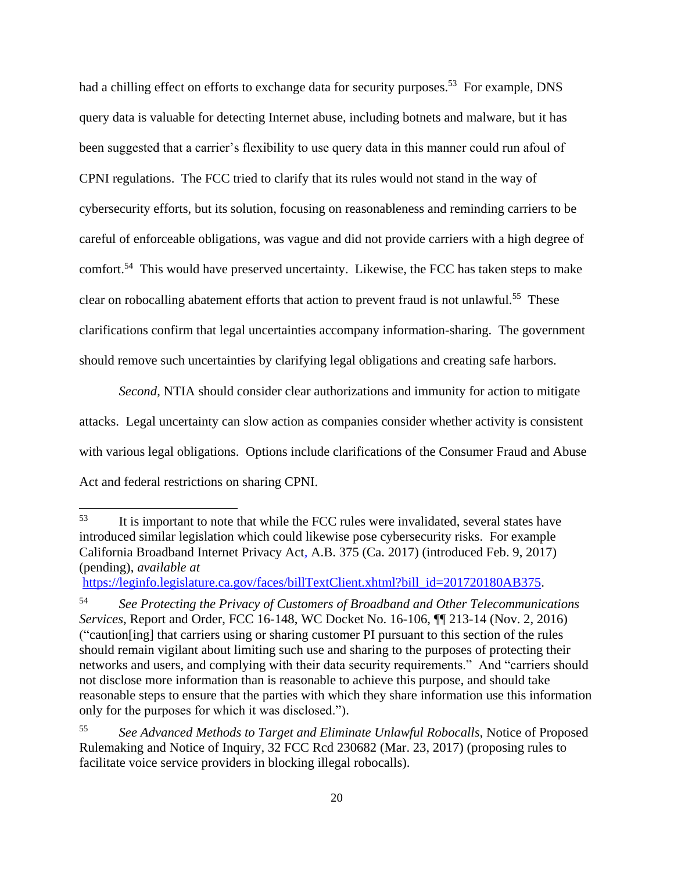had a chilling effect on efforts to exchange data for security purposes.<sup>53</sup> For example, DNS query data is valuable for detecting Internet abuse, including botnets and malware, but it has been suggested that a carrier's flexibility to use query data in this manner could run afoul of CPNI regulations. The FCC tried to clarify that its rules would not stand in the way of cybersecurity efforts, but its solution, focusing on reasonableness and reminding carriers to be careful of enforceable obligations, was vague and did not provide carriers with a high degree of comfort.<sup>54</sup> This would have preserved uncertainty. Likewise, the FCC has taken steps to make clear on robocalling abatement efforts that action to prevent fraud is not unlawful.<sup>55</sup> These clarifications confirm that legal uncertainties accompany information-sharing. The government should remove such uncertainties by clarifying legal obligations and creating safe harbors.

*Second*, NTIA should consider clear authorizations and immunity for action to mitigate attacks. Legal uncertainty can slow action as companies consider whether activity is consistent with various legal obligations. Options include clarifications of the Consumer Fraud and Abuse Act and federal restrictions on sharing CPNI.

[https://leginfo.legislature.ca.gov/faces/billTextClient.xhtml?bill\\_id=201720180AB375.](https://leginfo.legislature.ca.gov/faces/billTextClient.xhtml?bill_id=201720180AB375)

<sup>&</sup>lt;sup>53</sup> It is important to note that while the FCC rules were invalidated, several states have introduced similar legislation which could likewise pose cybersecurity risks. For example California Broadband Internet Privacy Act*,* A.B. 375 (Ca. 2017) (introduced Feb. 9, 2017) (pending), *available at*

<sup>54</sup> *See Protecting the Privacy of Customers of Broadband and Other Telecommunications Services*, Report and Order, FCC 16-148, WC Docket No. 16-106, ¶¶ 213-14 (Nov. 2, 2016) ("caution[ing] that carriers using or sharing customer PI pursuant to this section of the rules should remain vigilant about limiting such use and sharing to the purposes of protecting their networks and users, and complying with their data security requirements." And "carriers should not disclose more information than is reasonable to achieve this purpose, and should take reasonable steps to ensure that the parties with which they share information use this information only for the purposes for which it was disclosed.").

<sup>55</sup> *See Advanced Methods to Target and Eliminate Unlawful Robocalls,* Notice of Proposed Rulemaking and Notice of Inquiry*,* 32 FCC Rcd 230682 (Mar. 23, 2017) (proposing rules to facilitate voice service providers in blocking illegal robocalls).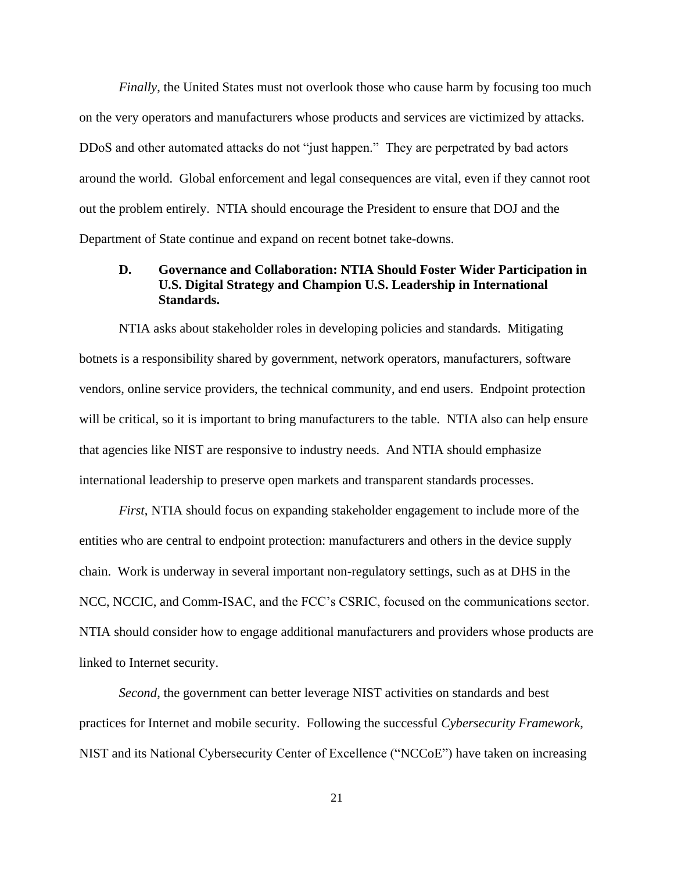*Finally*, the United States must not overlook those who cause harm by focusing too much on the very operators and manufacturers whose products and services are victimized by attacks. DDoS and other automated attacks do not "just happen." They are perpetrated by bad actors around the world. Global enforcement and legal consequences are vital, even if they cannot root out the problem entirely. NTIA should encourage the President to ensure that DOJ and the Department of State continue and expand on recent botnet take-downs.

# <span id="page-22-0"></span>**D. Governance and Collaboration: NTIA Should Foster Wider Participation in U.S. Digital Strategy and Champion U.S. Leadership in International Standards.**

NTIA asks about stakeholder roles in developing policies and standards. Mitigating botnets is a responsibility shared by government, network operators, manufacturers, software vendors, online service providers, the technical community, and end users. Endpoint protection will be critical, so it is important to bring manufacturers to the table. NTIA also can help ensure that agencies like NIST are responsive to industry needs. And NTIA should emphasize international leadership to preserve open markets and transparent standards processes.

*First*, NTIA should focus on expanding stakeholder engagement to include more of the entities who are central to endpoint protection: manufacturers and others in the device supply chain. Work is underway in several important non-regulatory settings, such as at DHS in the NCC, NCCIC, and Comm-ISAC, and the FCC's CSRIC, focused on the communications sector. NTIA should consider how to engage additional manufacturers and providers whose products are linked to Internet security.

*Second*, the government can better leverage NIST activities on standards and best practices for Internet and mobile security. Following the successful *Cybersecurity Framework*, NIST and its National Cybersecurity Center of Excellence ("NCCoE") have taken on increasing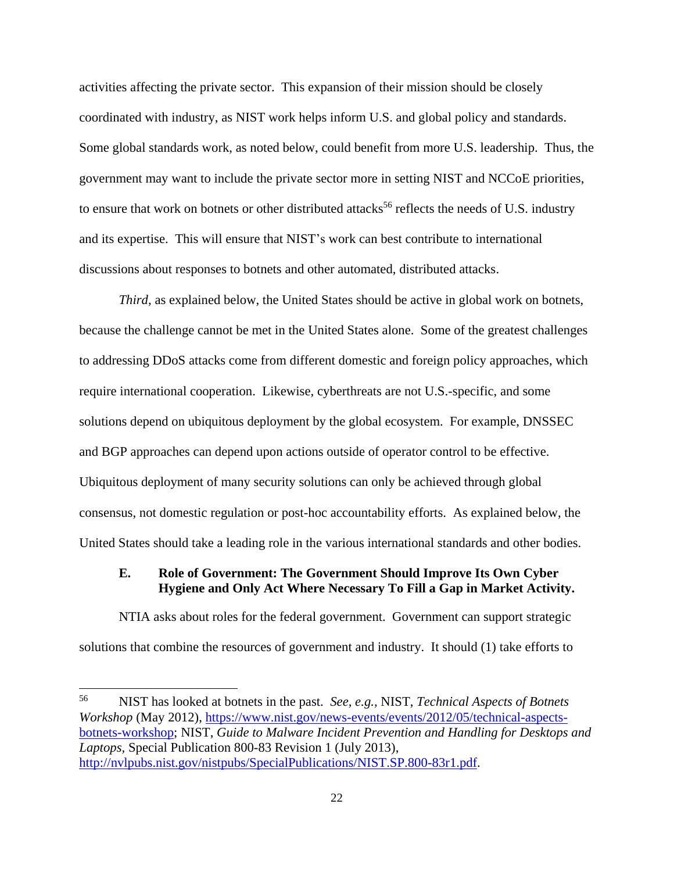activities affecting the private sector. This expansion of their mission should be closely coordinated with industry, as NIST work helps inform U.S. and global policy and standards. Some global standards work, as noted below, could benefit from more U.S. leadership. Thus, the government may want to include the private sector more in setting NIST and NCCoE priorities, to ensure that work on botnets or other distributed attacks<sup>56</sup> reflects the needs of U.S. industry and its expertise. This will ensure that NIST's work can best contribute to international discussions about responses to botnets and other automated, distributed attacks.

*Third*, as explained below, the United States should be active in global work on botnets, because the challenge cannot be met in the United States alone. Some of the greatest challenges to addressing DDoS attacks come from different domestic and foreign policy approaches, which require international cooperation. Likewise, cyberthreats are not U.S.-specific, and some solutions depend on ubiquitous deployment by the global ecosystem. For example, DNSSEC and BGP approaches can depend upon actions outside of operator control to be effective. Ubiquitous deployment of many security solutions can only be achieved through global consensus, not domestic regulation or post-hoc accountability efforts. As explained below, the United States should take a leading role in the various international standards and other bodies.

## <span id="page-23-0"></span>**E. Role of Government: The Government Should Improve Its Own Cyber Hygiene and Only Act Where Necessary To Fill a Gap in Market Activity.**

NTIA asks about roles for the federal government. Government can support strategic solutions that combine the resources of government and industry. It should (1) take efforts to

<sup>56</sup> <sup>56</sup> NIST has looked at botnets in the past. *See, e.g.,* NIST, *Technical Aspects of Botnets Workshop* (May 2012), [https://www.nist.gov/news-events/events/2012/05/technical-aspects](https://www.nist.gov/news-events/events/2012/05/technical-aspects-botnets-workshop)[botnets-workshop;](https://www.nist.gov/news-events/events/2012/05/technical-aspects-botnets-workshop) NIST, *Guide to Malware Incident Prevention and Handling for Desktops and Laptops,* Special Publication 800-83 Revision 1 (July 2013), [http://nvlpubs.nist.gov/nistpubs/SpecialPublications/NIST.SP.800-83r1.pdf.](http://nvlpubs.nist.gov/nistpubs/SpecialPublications/NIST.SP.800-83r1.pdf)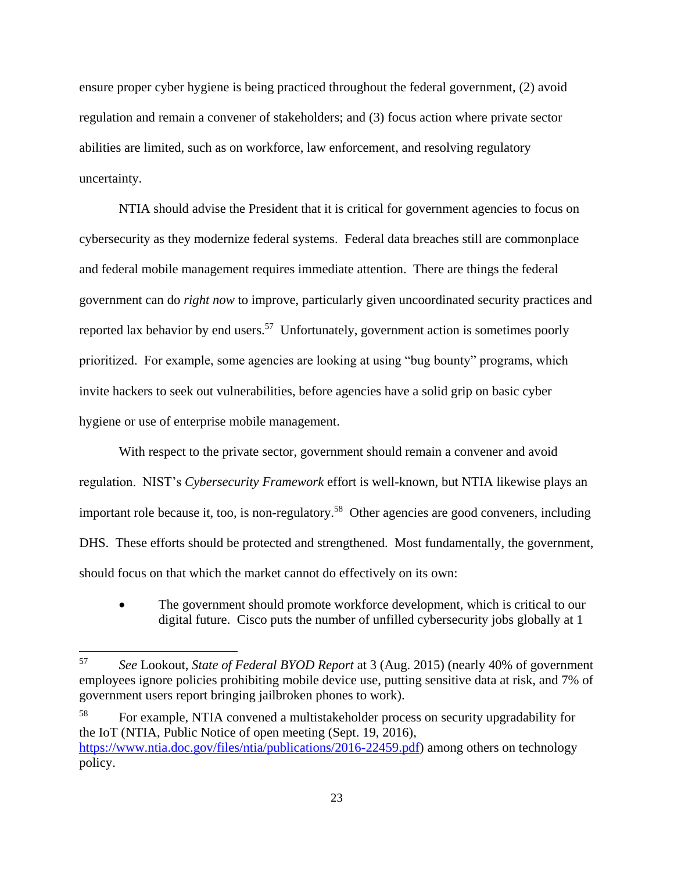ensure proper cyber hygiene is being practiced throughout the federal government, (2) avoid regulation and remain a convener of stakeholders; and (3) focus action where private sector abilities are limited, such as on workforce, law enforcement, and resolving regulatory uncertainty.

NTIA should advise the President that it is critical for government agencies to focus on cybersecurity as they modernize federal systems. Federal data breaches still are commonplace and federal mobile management requires immediate attention. There are things the federal government can do *right now* to improve, particularly given uncoordinated security practices and reported lax behavior by end users.<sup>57</sup> Unfortunately, government action is sometimes poorly prioritized. For example, some agencies are looking at using "bug bounty" programs, which invite hackers to seek out vulnerabilities, before agencies have a solid grip on basic cyber hygiene or use of enterprise mobile management.

With respect to the private sector, government should remain a convener and avoid regulation. NIST's *Cybersecurity Framework* effort is well-known, but NTIA likewise plays an important role because it, too, is non-regulatory.<sup>58</sup> Other agencies are good conveners, including DHS. These efforts should be protected and strengthened. Most fundamentally, the government, should focus on that which the market cannot do effectively on its own:

• The government should promote workforce development, which is critical to our digital future. Cisco puts the number of unfilled cybersecurity jobs globally at 1

<sup>57</sup> *See* Lookout, *State of Federal BYOD Report* at 3 (Aug. 2015) (nearly 40% of government employees ignore policies prohibiting mobile device use, putting sensitive data at risk, and 7% of government users report bringing jailbroken phones to work).

<sup>58</sup> For example, NTIA convened a multistakeholder process on security upgradability for the IoT (NTIA, Public Notice of open meeting (Sept. 19, 2016), [https://www.ntia.doc.gov/files/ntia/publications/2016-22459.pdf\)](https://www.ntia.doc.gov/files/ntia/publications/2016-22459.pdf) among others on technology policy.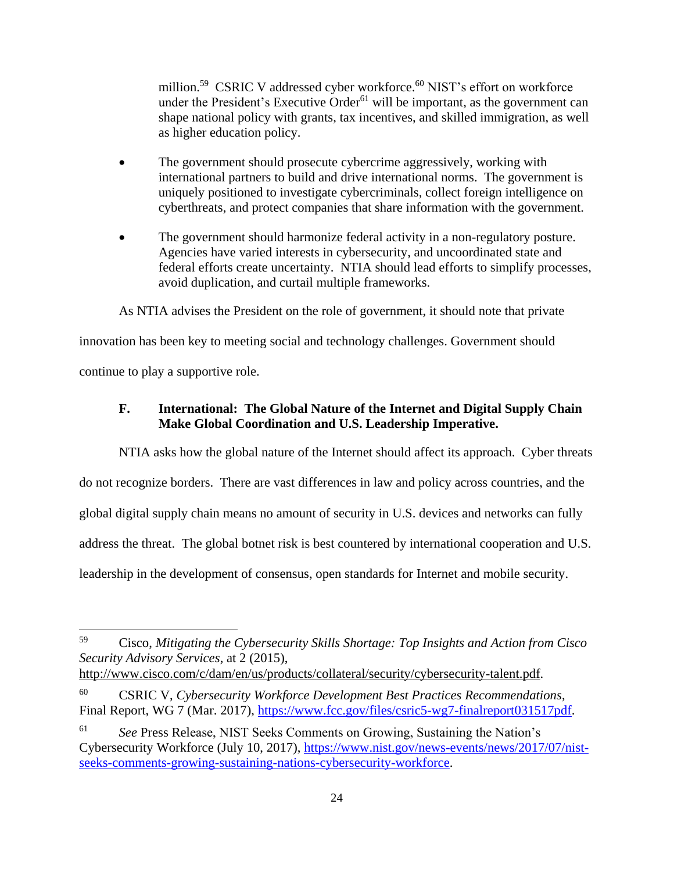million.<sup>59</sup> CSRIC V addressed cyber workforce.<sup>60</sup> NIST's effort on workforce under the President's Executive Order $61$  will be important, as the government can shape national policy with grants, tax incentives, and skilled immigration, as well as higher education policy.

- The government should prosecute cybercrime aggressively, working with international partners to build and drive international norms. The government is uniquely positioned to investigate cybercriminals, collect foreign intelligence on cyberthreats, and protect companies that share information with the government.
- The government should harmonize federal activity in a non-regulatory posture. Agencies have varied interests in cybersecurity, and uncoordinated state and federal efforts create uncertainty. NTIA should lead efforts to simplify processes, avoid duplication, and curtail multiple frameworks.

As NTIA advises the President on the role of government, it should note that private

innovation has been key to meeting social and technology challenges. Government should continue to play a supportive role.

# <span id="page-25-0"></span>**F. International: The Global Nature of the Internet and Digital Supply Chain Make Global Coordination and U.S. Leadership Imperative.**

NTIA asks how the global nature of the Internet should affect its approach. Cyber threats

do not recognize borders. There are vast differences in law and policy across countries, and the

global digital supply chain means no amount of security in U.S. devices and networks can fully

address the threat. The global botnet risk is best countered by international cooperation and U.S.

leadership in the development of consensus, open standards for Internet and mobile security.

<sup>59</sup> Cisco, *Mitigating the Cybersecurity Skills Shortage: Top Insights and Action from Cisco Security Advisory Services*, at 2 (2015),

[http://www.cisco.com/c/dam/en/us/products/collateral/security/cybersecurity-talent.pdf.](http://www.cisco.com/c/dam/en/us/products/collateral/security/cybersecurity-talent.pdf)

<sup>60</sup> CSRIC V, *Cybersecurity Workforce Development Best Practices Recommendations*, Final Report, WG 7 (Mar. 2017), [https://www.fcc.gov/files/csric5-wg7-finalreport031517pdf.](https://www.fcc.gov/files/csric5-wg7-finalreport031517pdf)

<sup>61</sup> *See* Press Release, NIST Seeks Comments on Growing, Sustaining the Nation's Cybersecurity Workforce (July 10, 2017), [https://www.nist.gov/news-events/news/2017/07/nist](https://www.nist.gov/news-events/news/2017/07/nist-seeks-comments-growing-sustaining-nations-cybersecurity-workforce)[seeks-comments-growing-sustaining-nations-cybersecurity-workforce.](https://www.nist.gov/news-events/news/2017/07/nist-seeks-comments-growing-sustaining-nations-cybersecurity-workforce)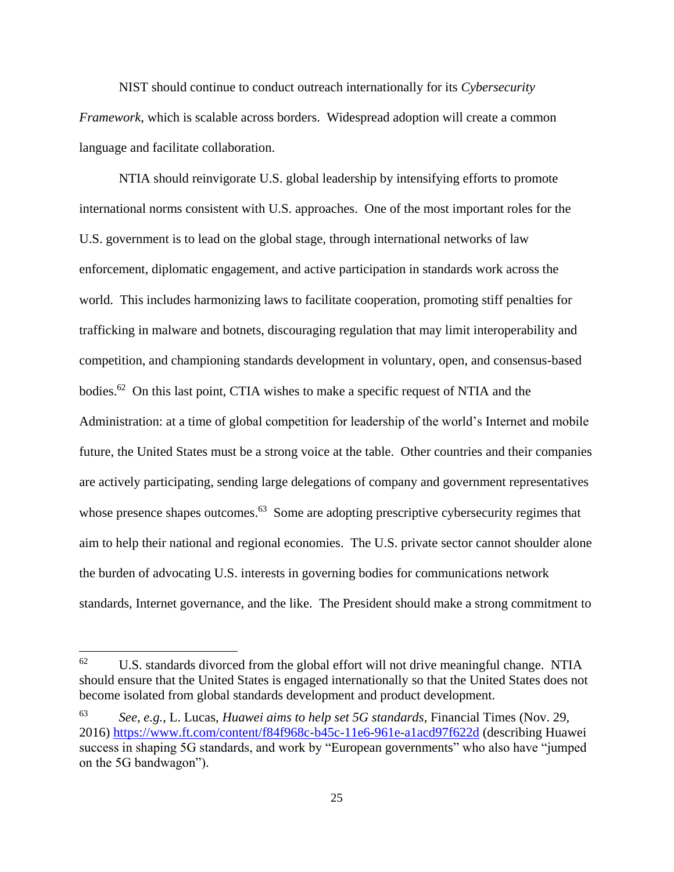NIST should continue to conduct outreach internationally for its *Cybersecurity Framework*, which is scalable across borders. Widespread adoption will create a common language and facilitate collaboration.

NTIA should reinvigorate U.S. global leadership by intensifying efforts to promote international norms consistent with U.S. approaches. One of the most important roles for the U.S. government is to lead on the global stage, through international networks of law enforcement, diplomatic engagement, and active participation in standards work across the world. This includes harmonizing laws to facilitate cooperation, promoting stiff penalties for trafficking in malware and botnets, discouraging regulation that may limit interoperability and competition, and championing standards development in voluntary, open, and consensus-based bodies.<sup>62</sup> On this last point, CTIA wishes to make a specific request of NTIA and the Administration: at a time of global competition for leadership of the world's Internet and mobile future, the United States must be a strong voice at the table. Other countries and their companies are actively participating, sending large delegations of company and government representatives whose presence shapes outcomes.<sup>63</sup> Some are adopting prescriptive cybersecurity regimes that aim to help their national and regional economies. The U.S. private sector cannot shoulder alone the burden of advocating U.S. interests in governing bodies for communications network standards, Internet governance, and the like. The President should make a strong commitment to

 $62$  U.S. standards divorced from the global effort will not drive meaningful change. NTIA should ensure that the United States is engaged internationally so that the United States does not become isolated from global standards development and product development.

<sup>63</sup> *See, e.g.*, L. Lucas, *Huawei aims to help set 5G standards,* Financial Times (Nov. 29, 2016)<https://www.ft.com/content/f84f968c-b45c-11e6-961e-a1acd97f622d> (describing Huawei success in shaping 5G standards, and work by "European governments" who also have "jumped on the 5G bandwagon").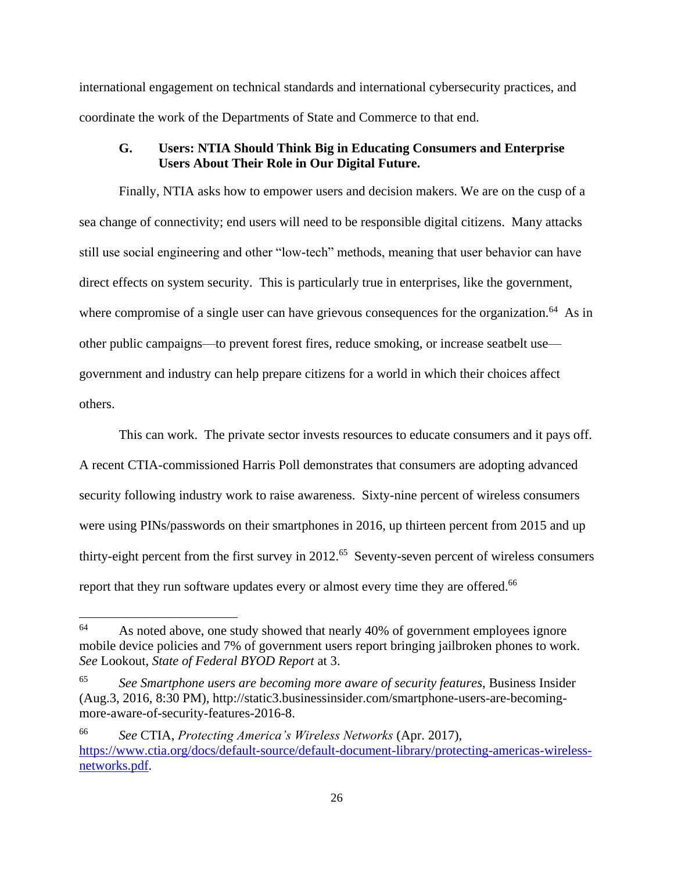international engagement on technical standards and international cybersecurity practices, and coordinate the work of the Departments of State and Commerce to that end.

# <span id="page-27-0"></span>**G. Users: NTIA Should Think Big in Educating Consumers and Enterprise Users About Their Role in Our Digital Future.**

Finally, NTIA asks how to empower users and decision makers. We are on the cusp of a sea change of connectivity; end users will need to be responsible digital citizens. Many attacks still use social engineering and other "low-tech" methods, meaning that user behavior can have direct effects on system security. This is particularly true in enterprises, like the government, where compromise of a single user can have grievous consequences for the organization.<sup>64</sup> As in other public campaigns—to prevent forest fires, reduce smoking, or increase seatbelt use government and industry can help prepare citizens for a world in which their choices affect others.

This can work. The private sector invests resources to educate consumers and it pays off. A recent CTIA-commissioned Harris Poll demonstrates that consumers are adopting advanced security following industry work to raise awareness. Sixty-nine percent of wireless consumers were using PINs/passwords on their smartphones in 2016, up thirteen percent from 2015 and up thirty-eight percent from the first survey in  $2012$ .<sup>65</sup> Seventy-seven percent of wireless consumers report that they run software updates every or almost every time they are offered.<sup>66</sup>

<sup>&</sup>lt;sup>64</sup> As noted above, one study showed that nearly 40% of government employees ignore mobile device policies and 7% of government users report bringing jailbroken phones to work. *See* Lookout, *State of Federal BYOD Report* at 3.

<sup>65</sup> *See Smartphone users are becoming more aware of security features*, Business Insider (Aug.3, 2016, 8:30 PM), http://static3.businessinsider.com/smartphone-users-are-becomingmore-aware-of-security-features-2016-8.

<sup>66</sup> *See* CTIA, *Protecting America's Wireless Networks* (Apr. 2017), [https://www.ctia.org/docs/default-source/default-document-library/protecting-americas-wireless](https://www.ctia.org/docs/default-source/default-document-library/protecting-americas-wireless-networks.pdf)[networks.pdf.](https://www.ctia.org/docs/default-source/default-document-library/protecting-americas-wireless-networks.pdf)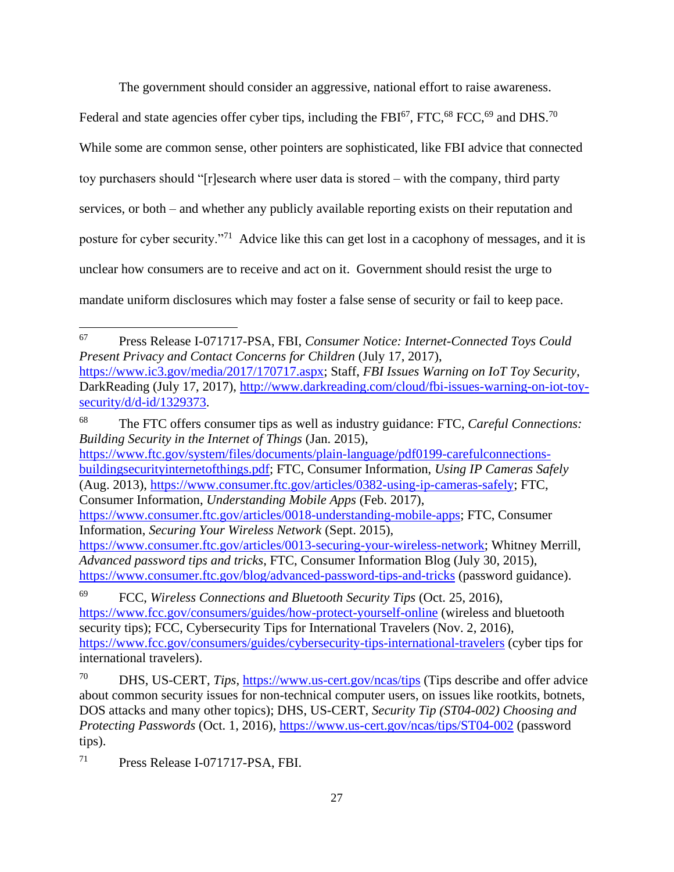The government should consider an aggressive, national effort to raise awareness.

Federal and state agencies offer cyber tips, including the FBI $^{67}$ , FTC,  $^{68}$  FCC,  $^{69}$  and DHS.<sup>70</sup> While some are common sense, other pointers are sophisticated, like FBI advice that connected toy purchasers should "[r]esearch where user data is stored – with the company, third party services, or both – and whether any publicly available reporting exists on their reputation and posture for cyber security."<sup>71</sup> Advice like this can get lost in a cacophony of messages, and it is unclear how consumers are to receive and act on it. Government should resist the urge to mandate uniform disclosures which may foster a false sense of security or fail to keep pace.

<sup>68</sup> The FTC offers consumer tips as well as industry guidance: FTC, *Careful Connections: Building Security in the Internet of Things* (Jan. 2015), [https://www.ftc.gov/system/files/documents/plain-language/pdf0199-carefulconnections](https://www.ftc.gov/system/files/documents/plain-language/pdf0199-carefulconnections-buildingsecurityinternetofthings.pdf)[buildingsecurityinternetofthings.pdf;](https://www.ftc.gov/system/files/documents/plain-language/pdf0199-carefulconnections-buildingsecurityinternetofthings.pdf) FTC, Consumer Information, *Using IP Cameras Safely* (Aug. 2013), [https://www.consumer.ftc.gov/articles/0382-using-ip-cameras-safely;](https://www.consumer.ftc.gov/articles/0382-using-ip-cameras-safely) FTC, Consumer Information, *Understanding Mobile Apps* (Feb. 2017), [https://www.consumer.ftc.gov/articles/0018-understanding-mobile-apps;](https://www.consumer.ftc.gov/articles/0018-understanding-mobile-apps) FTC, Consumer Information, *Securing Your Wireless Network* (Sept. 2015), [https://www.consumer.ftc.gov/articles/0013-securing-your-wireless-network;](https://www.consumer.ftc.gov/articles/0013-securing-your-wireless-network) Whitney Merrill, *Advanced password tips and tricks*, FTC, Consumer Information Blog (July 30, 2015),

<sup>71</sup> Press Release I-071717-PSA, FBI.

<sup>67</sup> Press Release I-071717-PSA, FBI, *Consumer Notice: Internet-Connected Toys Could Present Privacy and Contact Concerns for Children* (July 17, 2017), [https://www.ic3.gov/media/2017/170717.aspx;](https://www.ic3.gov/media/2017/170717.aspx) Staff, *FBI Issues Warning on IoT Toy Security*, DarkReading (July 17, 2017), [http://www.darkreading.com/cloud/fbi-issues-warning-on-iot-toy](http://www.darkreading.com/cloud/fbi-issues-warning-on-iot-toy-security/d/d-id/1329373)[security/d/d-id/1329373.](http://www.darkreading.com/cloud/fbi-issues-warning-on-iot-toy-security/d/d-id/1329373)

<https://www.consumer.ftc.gov/blog/advanced-password-tips-and-tricks> (password guidance).

<sup>69</sup> FCC, *Wireless Connections and Bluetooth Security Tips* (Oct. 25, 2016), <https://www.fcc.gov/consumers/guides/how-protect-yourself-online> (wireless and bluetooth security tips); FCC, Cybersecurity Tips for International Travelers (Nov. 2, 2016), <https://www.fcc.gov/consumers/guides/cybersecurity-tips-international-travelers> (cyber tips for international travelers).

<sup>70</sup> DHS, US-CERT, *Tips*,<https://www.us-cert.gov/ncas/tips> (Tips describe and offer advice about common security issues for non-technical computer users, on issues like rootkits, botnets, DOS attacks and many other topics); DHS, US-CERT, *Security Tip (ST04-002) Choosing and Protecting Passwords* (Oct. 1, 2016),<https://www.us-cert.gov/ncas/tips/ST04-002> (password tips).